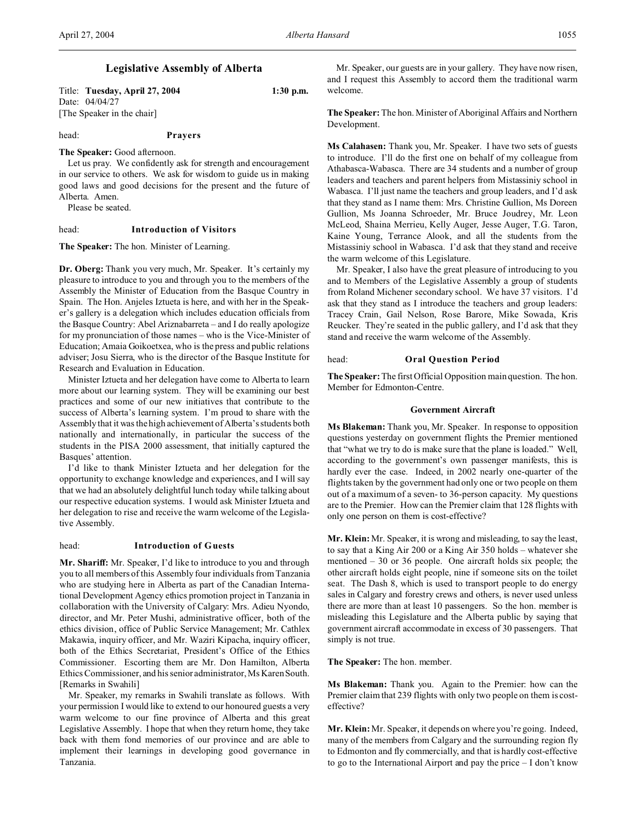Title: **Tuesday, April 27, 2004 1:30 p.m.** Date: 04/04/27 [The Speaker in the chair]

head: **Prayers**

**The Speaker:** Good afternoon.

Let us pray. We confidently ask for strength and encouragement in our service to others. We ask for wisdom to guide us in making good laws and good decisions for the present and the future of Alberta. Amen.

Please be seated.

### head: **Introduction of Visitors**

**The Speaker:** The hon. Minister of Learning.

**Dr. Oberg:** Thank you very much, Mr. Speaker. It's certainly my pleasure to introduce to you and through you to the members of the Assembly the Minister of Education from the Basque Country in Spain. The Hon. Anjeles Iztueta is here, and with her in the Speaker's gallery is a delegation which includes education officials from the Basque Country: Abel Ariznabarreta – and I do really apologize for my pronunciation of those names – who is the Vice-Minister of Education; Amaia Goikoetxea, who is the press and public relations adviser; Josu Sierra, who is the director of the Basque Institute for Research and Evaluation in Education.

Minister Iztueta and her delegation have come to Alberta to learn more about our learning system. They will be examining our best practices and some of our new initiatives that contribute to the success of Alberta's learning system. I'm proud to share with the Assembly that it was the high achievement of Alberta's students both nationally and internationally, in particular the success of the students in the PISA 2000 assessment, that initially captured the Basques' attention.

I'd like to thank Minister Iztueta and her delegation for the opportunity to exchange knowledge and experiences, and I will say that we had an absolutely delightful lunch today while talking about our respective education systems. I would ask Minister Iztueta and her delegation to rise and receive the warm welcome of the Legislative Assembly.

### head: **Introduction of Guests**

**Mr. Shariff:** Mr. Speaker, I'd like to introduce to you and through you to all members of this Assembly four individuals from Tanzania who are studying here in Alberta as part of the Canadian International Development Agency ethics promotion project in Tanzania in collaboration with the University of Calgary: Mrs. Adieu Nyondo, director, and Mr. Peter Mushi, administrative officer, both of the ethics division, office of Public Service Management; Mr. Cathlex Makawia, inquiry officer, and Mr. Waziri Kipacha, inquiry officer, both of the Ethics Secretariat, President's Office of the Ethics Commissioner. Escorting them are Mr. Don Hamilton, Alberta Ethics Commissioner, and his senior administrator, Ms Karen South. [Remarks in Swahili]

Mr. Speaker, my remarks in Swahili translate as follows. With your permission I would like to extend to our honoured guests a very warm welcome to our fine province of Alberta and this great Legislative Assembly. I hope that when they return home, they take back with them fond memories of our province and are able to implement their learnings in developing good governance in Tanzania.

Mr. Speaker, our guests are in your gallery. They have now risen, and I request this Assembly to accord them the traditional warm welcome.

**The Speaker:** The hon. Minister of Aboriginal Affairs and Northern Development.

**Ms Calahasen:** Thank you, Mr. Speaker. I have two sets of guests to introduce. I'll do the first one on behalf of my colleague from Athabasca-Wabasca. There are 34 students and a number of group leaders and teachers and parent helpers from Mistassiniy school in Wabasca. I'll just name the teachers and group leaders, and I'd ask that they stand as I name them: Mrs. Christine Gullion, Ms Doreen Gullion, Ms Joanna Schroeder, Mr. Bruce Joudrey, Mr. Leon McLeod, Shaina Merrieu, Kelly Auger, Jesse Auger, T.G. Taron, Kaine Young, Terrance Alook, and all the students from the Mistassiniy school in Wabasca. I'd ask that they stand and receive the warm welcome of this Legislature.

Mr. Speaker, I also have the great pleasure of introducing to you and to Members of the Legislative Assembly a group of students from Roland Michener secondary school. We have 37 visitors. I'd ask that they stand as I introduce the teachers and group leaders: Tracey Crain, Gail Nelson, Rose Barore, Mike Sowada, Kris Reucker. They're seated in the public gallery, and I'd ask that they stand and receive the warm welcome of the Assembly.

# head: **Oral Question Period**

**The Speaker:** The first Official Opposition main question. The hon. Member for Edmonton-Centre.

### **Government Aircraft**

**Ms Blakeman:** Thank you, Mr. Speaker. In response to opposition questions yesterday on government flights the Premier mentioned that "what we try to do is make sure that the plane is loaded." Well, according to the government's own passenger manifests, this is hardly ever the case. Indeed, in 2002 nearly one-quarter of the flights taken by the government had only one or two people on them out of a maximum of a seven- to 36-person capacity. My questions are to the Premier. How can the Premier claim that 128 flights with only one person on them is cost-effective?

**Mr. Klein:** Mr. Speaker, it is wrong and misleading, to say the least, to say that a King Air 200 or a King Air 350 holds – whatever she mentioned – 30 or 36 people. One aircraft holds six people; the other aircraft holds eight people, nine if someone sits on the toilet seat. The Dash 8, which is used to transport people to do energy sales in Calgary and forestry crews and others, is never used unless there are more than at least 10 passengers. So the hon. member is misleading this Legislature and the Alberta public by saying that government aircraft accommodate in excess of 30 passengers. That simply is not true.

**The Speaker:** The hon. member.

**Ms Blakeman:** Thank you. Again to the Premier: how can the Premier claim that 239 flights with only two people on them is costeffective?

**Mr. Klein:** Mr. Speaker, it depends on where you're going. Indeed, many of the members from Calgary and the surrounding region fly to Edmonton and fly commercially, and that is hardly cost-effective to go to the International Airport and pay the price – I don't know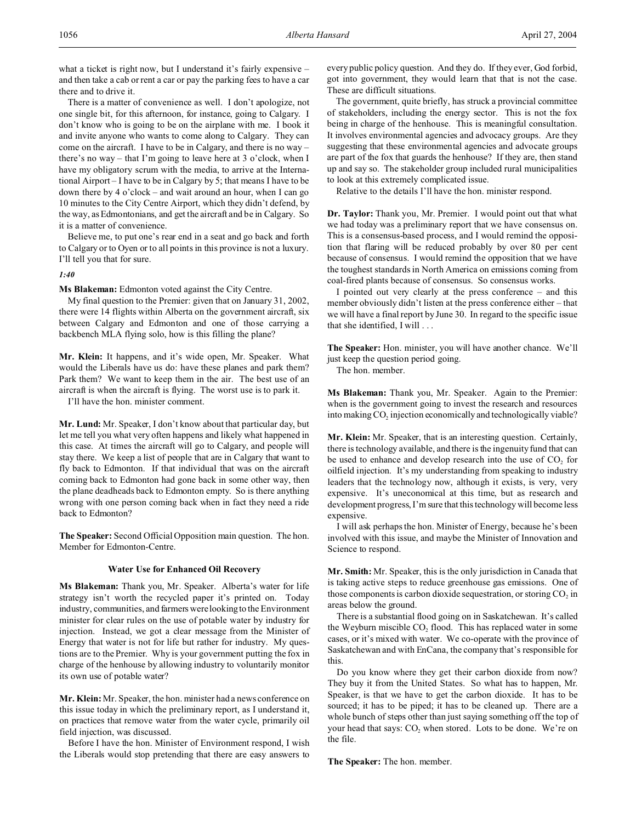what a ticket is right now, but I understand it's fairly expensive – and then take a cab or rent a car or pay the parking fees to have a car there and to drive it.

There is a matter of convenience as well. I don't apologize, not one single bit, for this afternoon, for instance, going to Calgary. I don't know who is going to be on the airplane with me. I book it and invite anyone who wants to come along to Calgary. They can come on the aircraft. I have to be in Calgary, and there is no way – there's no way – that I'm going to leave here at 3 o'clock, when I have my obligatory scrum with the media, to arrive at the International Airport – I have to be in Calgary by 5; that means I have to be down there by 4 o'clock – and wait around an hour, when I can go 10 minutes to the City Centre Airport, which they didn't defend, by the way, as Edmontonians, and get the aircraft and be in Calgary. So it is a matter of convenience.

Believe me, to put one's rear end in a seat and go back and forth to Calgary or to Oyen or to all points in this province is not a luxury. I'll tell you that for sure.

# *1:40*

**Ms Blakeman:** Edmonton voted against the City Centre.

My final question to the Premier: given that on January 31, 2002, there were 14 flights within Alberta on the government aircraft, six between Calgary and Edmonton and one of those carrying a backbench MLA flying solo, how is this filling the plane?

**Mr. Klein:** It happens, and it's wide open, Mr. Speaker. What would the Liberals have us do: have these planes and park them? Park them? We want to keep them in the air. The best use of an aircraft is when the aircraft is flying. The worst use is to park it.

I'll have the hon. minister comment.

**Mr. Lund:** Mr. Speaker, I don't know about that particular day, but let me tell you what very often happens and likely what happened in this case. At times the aircraft will go to Calgary, and people will stay there. We keep a list of people that are in Calgary that want to fly back to Edmonton. If that individual that was on the aircraft coming back to Edmonton had gone back in some other way, then the plane deadheads back to Edmonton empty. So is there anything wrong with one person coming back when in fact they need a ride back to Edmonton?

**The Speaker:** Second Official Opposition main question. The hon. Member for Edmonton-Centre.

# **Water Use for Enhanced Oil Recovery**

**Ms Blakeman:** Thank you, Mr. Speaker. Alberta's water for life strategy isn't worth the recycled paper it's printed on. Today industry, communities, and farmers were looking to the Environment minister for clear rules on the use of potable water by industry for injection. Instead, we got a clear message from the Minister of Energy that water is not for life but rather for industry. My questions are to the Premier. Why is your government putting the fox in charge of the henhouse by allowing industry to voluntarily monitor its own use of potable water?

**Mr. Klein:** Mr. Speaker, the hon. minister had a news conference on this issue today in which the preliminary report, as I understand it, on practices that remove water from the water cycle, primarily oil field injection, was discussed.

Before I have the hon. Minister of Environment respond, I wish the Liberals would stop pretending that there are easy answers to

every public policy question. And they do. If they ever, God forbid, got into government, they would learn that that is not the case. These are difficult situations.

The government, quite briefly, has struck a provincial committee of stakeholders, including the energy sector. This is not the fox being in charge of the henhouse. This is meaningful consultation. It involves environmental agencies and advocacy groups. Are they suggesting that these environmental agencies and advocate groups are part of the fox that guards the henhouse? If they are, then stand up and say so. The stakeholder group included rural municipalities to look at this extremely complicated issue.

Relative to the details I'll have the hon. minister respond.

**Dr. Taylor:** Thank you, Mr. Premier. I would point out that what we had today was a preliminary report that we have consensus on. This is a consensus-based process, and I would remind the opposition that flaring will be reduced probably by over 80 per cent because of consensus. I would remind the opposition that we have the toughest standards in North America on emissions coming from coal-fired plants because of consensus. So consensus works.

I pointed out very clearly at the press conference – and this member obviously didn't listen at the press conference either – that we will have a final report by June 30. In regard to the specific issue that she identified, I will . . .

**The Speaker:** Hon. minister, you will have another chance. We'll just keep the question period going.

The hon. member.

**Ms Blakeman:** Thank you, Mr. Speaker. Again to the Premier: when is the government going to invest the research and resources into making  $CO<sub>2</sub>$  injection economically and technologically viable?

**Mr. Klein:** Mr. Speaker, that is an interesting question. Certainly, there is technology available, and there is the ingenuity fund that can be used to enhance and develop research into the use of  $CO<sub>2</sub>$  for oilfield injection. It's my understanding from speaking to industry leaders that the technology now, although it exists, is very, very expensive. It's uneconomical at this time, but as research and development progress, I'm sure that this technology will become less expensive.

I will ask perhaps the hon. Minister of Energy, because he's been involved with this issue, and maybe the Minister of Innovation and Science to respond.

**Mr. Smith:** Mr. Speaker, this is the only jurisdiction in Canada that is taking active steps to reduce greenhouse gas emissions. One of those components is carbon dioxide sequestration, or storing  $CO<sub>2</sub>$  in areas below the ground.

There is a substantial flood going on in Saskatchewan. It's called the Weyburn miscible  $CO<sub>2</sub>$  flood. This has replaced water in some cases, or it's mixed with water. We co-operate with the province of Saskatchewan and with EnCana, the company that's responsible for this.

Do you know where they get their carbon dioxide from now? They buy it from the United States. So what has to happen, Mr. Speaker, is that we have to get the carbon dioxide. It has to be sourced; it has to be piped; it has to be cleaned up. There are a whole bunch of steps other than just saying something off the top of your head that says:  $CO<sub>2</sub>$  when stored. Lots to be done. We're on the file.

**The Speaker:** The hon. member.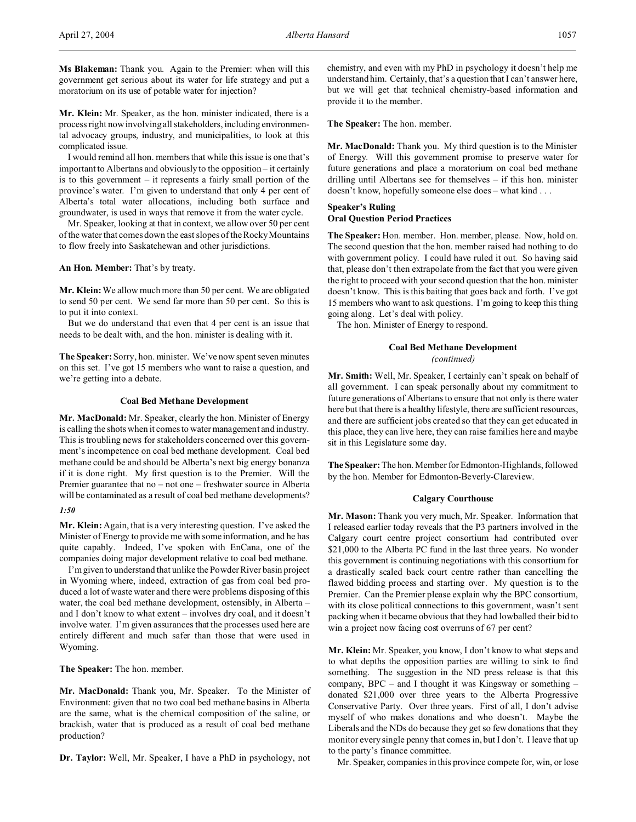**Ms Blakeman:** Thank you. Again to the Premier: when will this government get serious about its water for life strategy and put a moratorium on its use of potable water for injection?

**Mr. Klein:** Mr. Speaker, as the hon. minister indicated, there is a process right now involving all stakeholders, including environmental advocacy groups, industry, and municipalities, to look at this complicated issue.

I would remind all hon. members that while this issue is one that's important to Albertans and obviously to the opposition – it certainly is to this government – it represents a fairly small portion of the province's water. I'm given to understand that only 4 per cent of Alberta's total water allocations, including both surface and groundwater, is used in ways that remove it from the water cycle.

Mr. Speaker, looking at that in context, we allow over 50 per cent of the water that comes down the east slopes of the Rocky Mountains to flow freely into Saskatchewan and other jurisdictions.

**An Hon. Member:** That's by treaty.

**Mr. Klein:** We allow much more than 50 per cent. We are obligated to send 50 per cent. We send far more than 50 per cent. So this is to put it into context.

But we do understand that even that 4 per cent is an issue that needs to be dealt with, and the hon. minister is dealing with it.

**The Speaker:**Sorry, hon. minister. We've now spent seven minutes on this set. I've got 15 members who want to raise a question, and we're getting into a debate.

### **Coal Bed Methane Development**

**Mr. MacDonald:** Mr. Speaker, clearly the hon. Minister of Energy is calling the shots when it comes to water management and industry. This is troubling news for stakeholders concerned over this government's incompetence on coal bed methane development. Coal bed methane could be and should be Alberta's next big energy bonanza if it is done right. My first question is to the Premier. Will the Premier guarantee that no – not one – freshwater source in Alberta will be contaminated as a result of coal bed methane developments?

# *1:50*

**Mr. Klein:** Again, that is a very interesting question. I've asked the Minister of Energy to provide me with some information, and he has quite capably. Indeed, I've spoken with EnCana, one of the companies doing major development relative to coal bed methane.

I'm given to understand that unlike the Powder River basin project in Wyoming where, indeed, extraction of gas from coal bed produced a lot of waste water and there were problems disposing of this water, the coal bed methane development, ostensibly, in Alberta – and I don't know to what extent – involves dry coal, and it doesn't involve water. I'm given assurances that the processes used here are entirely different and much safer than those that were used in Wyoming.

**The Speaker:** The hon. member.

**Mr. MacDonald:** Thank you, Mr. Speaker. To the Minister of Environment: given that no two coal bed methane basins in Alberta are the same, what is the chemical composition of the saline, or brackish, water that is produced as a result of coal bed methane production?

**Dr. Taylor:** Well, Mr. Speaker, I have a PhD in psychology, not

chemistry, and even with my PhD in psychology it doesn't help me understand him. Certainly, that's a question that I can't answer here, but we will get that technical chemistry-based information and provide it to the member.

**The Speaker:** The hon. member.

**Mr. MacDonald:** Thank you. My third question is to the Minister of Energy. Will this government promise to preserve water for future generations and place a moratorium on coal bed methane drilling until Albertans see for themselves – if this hon. minister doesn't know, hopefully someone else does – what kind . . .

# **Speaker's Ruling**

# **Oral Question Period Practices**

**The Speaker:** Hon. member. Hon. member, please. Now, hold on. The second question that the hon. member raised had nothing to do with government policy. I could have ruled it out. So having said that, please don't then extrapolate from the fact that you were given the right to proceed with your second question that the hon. minister doesn't know. This is this baiting that goes back and forth. I've got 15 members who want to ask questions. I'm going to keep this thing going along. Let's deal with policy.

The hon. Minister of Energy to respond.

# **Coal Bed Methane Development**

*(continued)*

**Mr. Smith:** Well, Mr. Speaker, I certainly can't speak on behalf of all government. I can speak personally about my commitment to future generations of Albertans to ensure that not only is there water here but that there is a healthy lifestyle, there are sufficient resources, and there are sufficient jobs created so that they can get educated in this place, they can live here, they can raise families here and maybe sit in this Legislature some day.

**The Speaker:** The hon. Member for Edmonton-Highlands, followed by the hon. Member for Edmonton-Beverly-Clareview.

### **Calgary Courthouse**

**Mr. Mason:** Thank you very much, Mr. Speaker. Information that I released earlier today reveals that the P3 partners involved in the Calgary court centre project consortium had contributed over \$21,000 to the Alberta PC fund in the last three years. No wonder this government is continuing negotiations with this consortium for a drastically scaled back court centre rather than cancelling the flawed bidding process and starting over. My question is to the Premier. Can the Premier please explain why the BPC consortium, with its close political connections to this government, wasn't sent packing when it became obvious that they had lowballed their bid to win a project now facing cost overruns of 67 per cent?

**Mr. Klein:** Mr. Speaker, you know, I don't know to what steps and to what depths the opposition parties are willing to sink to find something. The suggestion in the ND press release is that this company, BPC – and I thought it was Kingsway or something – donated \$21,000 over three years to the Alberta Progressive Conservative Party. Over three years. First of all, I don't advise myself of who makes donations and who doesn't. Maybe the Liberals and the NDs do because they get so few donations that they monitor every single penny that comes in, but I don't. I leave that up to the party's finance committee.

Mr. Speaker, companies in this province compete for, win, or lose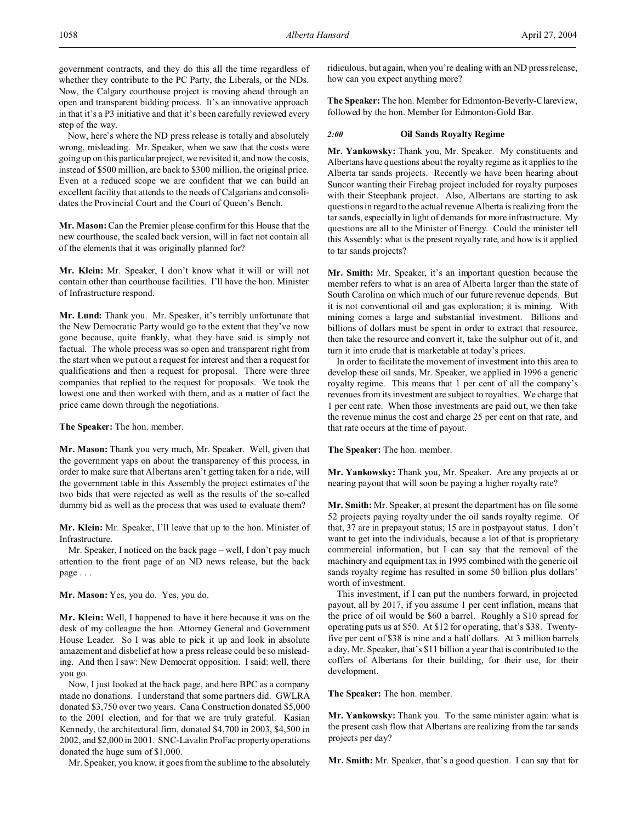Now, here's where the ND press release is totally and absolutely wrong, misleading. Mr. Speaker, when we saw that the costs were going up on this particular project, we revisited it, and now the costs, instead of \$500 million, are back to \$300 million, the original price. Even at a reduced scope we are confident that we can build an excellent facility that attends to the needs of Calgarians and consolidates the Provincial Court and the Court of Queen's Bench.

**Mr. Mason:** Can the Premier please confirm for this House that the new courthouse, the scaled back version, will in fact not contain all of the elements that it was originally planned for?

**Mr. Klein:** Mr. Speaker, I don't know what it will or will not contain other than courthouse facilities. I'll have the hon. Minister of Infrastructure respond.

**Mr. Lund:** Thank you. Mr. Speaker, it's terribly unfortunate that the New Democratic Party would go to the extent that they've now gone because, quite frankly, what they have said is simply not factual. The whole process was so open and transparent right from the start when we put out a request for interest and then a request for qualifications and then a request for proposal. There were three companies that replied to the request for proposals. We took the lowest one and then worked with them, and as a matter of fact the price came down through the negotiations.

**The Speaker:** The hon. member.

**Mr. Mason:** Thank you very much, Mr. Speaker. Well, given that the government yaps on about the transparency of this process, in order to make sure that Albertans aren't getting taken for a ride, will the government table in this Assembly the project estimates of the two bids that were rejected as well as the results of the so-called dummy bid as well as the process that was used to evaluate them?

**Mr. Klein:** Mr. Speaker, I'll leave that up to the hon. Minister of Infrastructure.

Mr. Speaker, I noticed on the back page – well, I don't pay much attention to the front page of an ND news release, but the back page . . .

**Mr. Mason:** Yes, you do. Yes, you do.

**Mr. Klein:** Well, I happened to have it here because it was on the desk of my colleague the hon. Attorney General and Government House Leader. So I was able to pick it up and look in absolute amazement and disbelief at how a press release could be so misleading. And then I saw: New Democrat opposition. I said: well, there you go.

Now, I just looked at the back page, and here BPC as a company made no donations. I understand that some partners did. GWLRA donated \$3,750 over two years. Cana Construction donated \$5,000 to the 2001 election, and for that we are truly grateful. Kasian Kennedy, the architectural firm, donated \$4,700 in 2003, \$4,500 in 2002, and \$2,000 in 2001. SNC-Lavalin ProFac property operations donated the huge sum of \$1,000.

Mr. Speaker, you know, it goes from the sublime to the absolutely

ridiculous, but again, when you're dealing with an ND press release, how can you expect anything more?

**The Speaker:** The hon. Member for Edmonton-Beverly-Clareview, followed by the hon. Member for Edmonton-Gold Bar.

# *2:00* **Oil Sands Royalty Regime**

**Mr. Yankowsky:** Thank you, Mr. Speaker. My constituents and Albertans have questions about the royalty regime as it applies to the Alberta tar sands projects. Recently we have been hearing about Suncor wanting their Firebag project included for royalty purposes with their Steepbank project. Also, Albertans are starting to ask questions in regard to the actual revenue Alberta is realizing from the tar sands, especially in light of demands for more infrastructure. My questions are all to the Minister of Energy. Could the minister tell this Assembly: what is the present royalty rate, and how is it applied to tar sands projects?

**Mr. Smith:** Mr. Speaker, it's an important question because the member refers to what is an area of Alberta larger than the state of South Carolina on which much of our future revenue depends. But it is not conventional oil and gas exploration; it is mining. With mining comes a large and substantial investment. Billions and billions of dollars must be spent in order to extract that resource, then take the resource and convert it, take the sulphur out of it, and turn it into crude that is marketable at today's prices.

In order to facilitate the movement of investment into this area to develop these oil sands, Mr. Speaker, we applied in 1996 a generic royalty regime. This means that 1 per cent of all the company's revenues from its investment are subject to royalties. We charge that 1 per cent rate. When those investments are paid out, we then take the revenue minus the cost and charge 25 per cent on that rate, and that rate occurs at the time of payout.

**The Speaker:** The hon. member.

**Mr. Yankowsky:** Thank you, Mr. Speaker. Are any projects at or nearing payout that will soon be paying a higher royalty rate?

**Mr. Smith:** Mr. Speaker, at present the department has on file some 52 projects paying royalty under the oil sands royalty regime. Of that, 37 are in prepayout status; 15 are in postpayout status. I don't want to get into the individuals, because a lot of that is proprietary commercial information, but I can say that the removal of the machinery and equipment tax in 1995 combined with the generic oil sands royalty regime has resulted in some 50 billion plus dollars' worth of investment.

This investment, if I can put the numbers forward, in projected payout, all by 2017, if you assume 1 per cent inflation, means that the price of oil would be \$60 a barrel. Roughly a \$10 spread for operating puts us at \$50. At \$12 for operating, that's \$38. Twentyfive per cent of \$38 is nine and a half dollars. At 3 million barrels a day, Mr. Speaker, that's \$11 billion a year that is contributed to the coffers of Albertans for their building, for their use, for their development.

**The Speaker:** The hon. member.

**Mr. Yankowsky:** Thank you. To the same minister again: what is the present cash flow that Albertans are realizing from the tar sands projects per day?

**Mr. Smith:** Mr. Speaker, that's a good question. I can say that for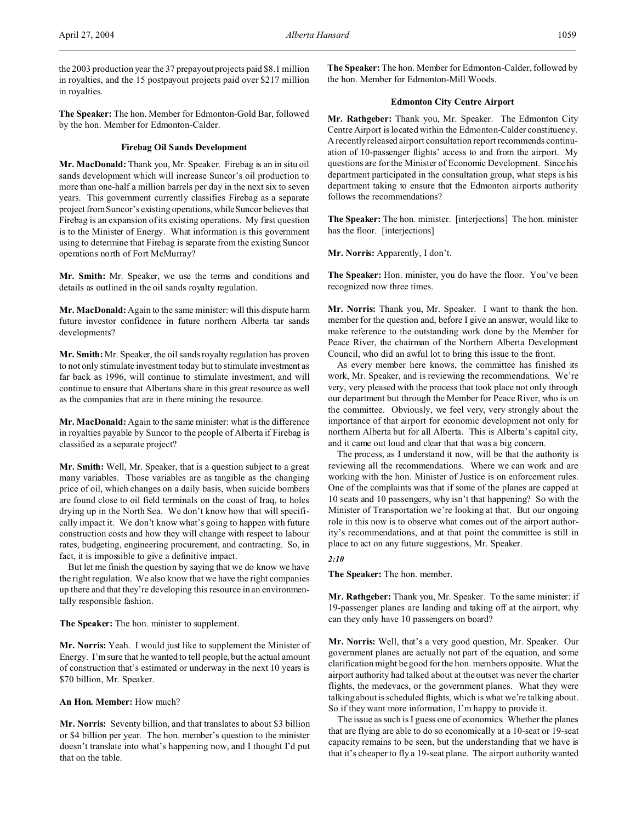the 2003 production year the 37 prepayout projects paid \$8.1 million in royalties, and the 15 postpayout projects paid over \$217 million in royalties.

**The Speaker:** The hon. Member for Edmonton-Gold Bar, followed by the hon. Member for Edmonton-Calder.

# **Firebag Oil Sands Development**

**Mr. MacDonald:** Thank you, Mr. Speaker. Firebag is an in situ oil sands development which will increase Suncor's oil production to more than one-half a million barrels per day in the next six to seven years. This government currently classifies Firebag as a separate project from Suncor's existing operations, while Suncor believes that Firebag is an expansion of its existing operations. My first question is to the Minister of Energy. What information is this government using to determine that Firebag is separate from the existing Suncor operations north of Fort McMurray?

**Mr. Smith:** Mr. Speaker, we use the terms and conditions and details as outlined in the oil sands royalty regulation.

**Mr. MacDonald:** Again to the same minister: will this dispute harm future investor confidence in future northern Alberta tar sands developments?

**Mr. Smith:** Mr. Speaker, the oil sands royalty regulation has proven to not only stimulate investment today but to stimulate investment as far back as 1996, will continue to stimulate investment, and will continue to ensure that Albertans share in this great resource as well as the companies that are in there mining the resource.

**Mr. MacDonald:** Again to the same minister: what is the difference in royalties payable by Suncor to the people of Alberta if Firebag is classified as a separate project?

**Mr. Smith:** Well, Mr. Speaker, that is a question subject to a great many variables. Those variables are as tangible as the changing price of oil, which changes on a daily basis, when suicide bombers are found close to oil field terminals on the coast of Iraq, to holes drying up in the North Sea. We don't know how that will specifically impact it. We don't know what's going to happen with future construction costs and how they will change with respect to labour rates, budgeting, engineering procurement, and contracting. So, in fact, it is impossible to give a definitive impact.

But let me finish the question by saying that we do know we have the right regulation. We also know that we have the right companies up there and that they're developing this resource in an environmentally responsible fashion.

**The Speaker:** The hon. minister to supplement.

**Mr. Norris:** Yeah. I would just like to supplement the Minister of Energy. I'm sure that he wanted to tell people, but the actual amount of construction that's estimated or underway in the next 10 years is \$70 billion, Mr. Speaker.

# **An Hon. Member:** How much?

**Mr. Norris:** Seventy billion, and that translates to about \$3 billion or \$4 billion per year. The hon. member's question to the minister doesn't translate into what's happening now, and I thought I'd put that on the table.

**The Speaker:** The hon. Member for Edmonton-Calder, followed by the hon. Member for Edmonton-Mill Woods.

# **Edmonton City Centre Airport**

**Mr. Rathgeber:** Thank you, Mr. Speaker. The Edmonton City Centre Airport is located within the Edmonton-Calder constituency. A recently released airport consultation report recommends continuation of 10-passenger flights' access to and from the airport. My questions are for the Minister of Economic Development. Since his department participated in the consultation group, what steps is his department taking to ensure that the Edmonton airports authority follows the recommendations?

**The Speaker:** The hon. minister. [interjections] The hon. minister has the floor. [interjections]

**Mr. Norris:** Apparently, I don't.

**The Speaker:** Hon. minister, you do have the floor. You've been recognized now three times.

**Mr. Norris:** Thank you, Mr. Speaker. I want to thank the hon. member for the question and, before I give an answer, would like to make reference to the outstanding work done by the Member for Peace River, the chairman of the Northern Alberta Development Council, who did an awful lot to bring this issue to the front.

As every member here knows, the committee has finished its work, Mr. Speaker, and is reviewing the recommendations. We're very, very pleased with the process that took place not only through our department but through the Member for Peace River, who is on the committee. Obviously, we feel very, very strongly about the importance of that airport for economic development not only for northern Alberta but for all Alberta. This is Alberta's capital city, and it came out loud and clear that that was a big concern.

The process, as I understand it now, will be that the authority is reviewing all the recommendations. Where we can work and are working with the hon. Minister of Justice is on enforcement rules. One of the complaints was that if some of the planes are capped at 10 seats and 10 passengers, why isn't that happening? So with the Minister of Transportation we're looking at that. But our ongoing role in this now is to observe what comes out of the airport authority's recommendations, and at that point the committee is still in place to act on any future suggestions, Mr. Speaker.

# *2:10*

**The Speaker:** The hon. member.

**Mr. Rathgeber:** Thank you, Mr. Speaker. To the same minister: if 19-passenger planes are landing and taking off at the airport, why can they only have 10 passengers on board?

**Mr. Norris:** Well, that's a very good question, Mr. Speaker. Our government planes are actually not part of the equation, and some clarification might be good for the hon. members opposite. What the airport authority had talked about at the outset was never the charter flights, the medevacs, or the government planes. What they were talking about is scheduled flights, which is what we're talking about. So if they want more information, I'm happy to provide it.

The issue as such is I guess one of economics. Whether the planes that are flying are able to do so economically at a 10-seat or 19-seat capacity remains to be seen, but the understanding that we have is that it's cheaper to fly a 19-seat plane. The airport authority wanted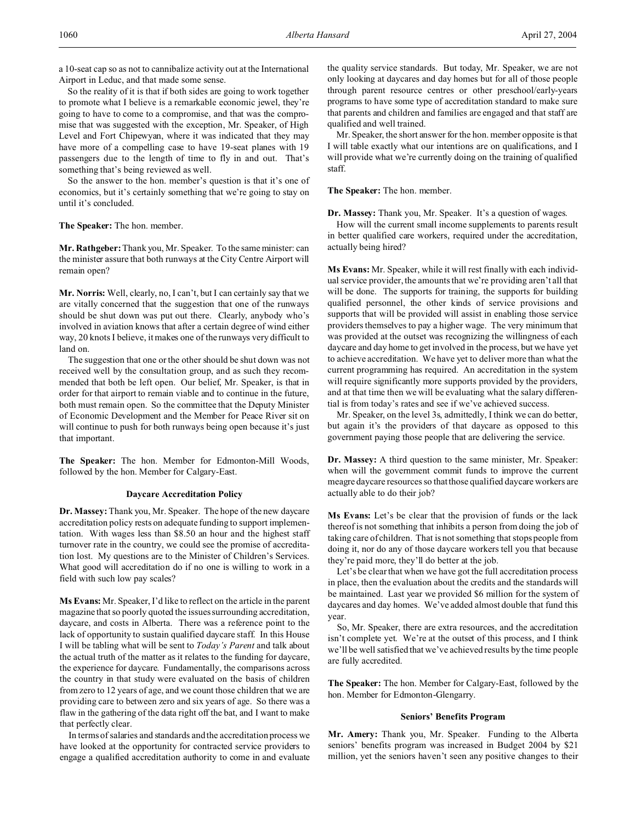a 10-seat cap so as not to cannibalize activity out at the International Airport in Leduc, and that made some sense.

So the reality of it is that if both sides are going to work together to promote what I believe is a remarkable economic jewel, they're going to have to come to a compromise, and that was the compromise that was suggested with the exception, Mr. Speaker, of High Level and Fort Chipewyan, where it was indicated that they may have more of a compelling case to have 19-seat planes with 19 passengers due to the length of time to fly in and out. That's something that's being reviewed as well.

So the answer to the hon. member's question is that it's one of economics, but it's certainly something that we're going to stay on until it's concluded.

**The Speaker:** The hon. member.

**Mr. Rathgeber:** Thank you, Mr. Speaker. To the same minister: can the minister assure that both runways at the City Centre Airport will remain open?

**Mr. Norris:** Well, clearly, no, I can't, but I can certainly say that we are vitally concerned that the suggestion that one of the runways should be shut down was put out there. Clearly, anybody who's involved in aviation knows that after a certain degree of wind either way, 20 knots I believe, it makes one of the runways very difficult to land on.

The suggestion that one or the other should be shut down was not received well by the consultation group, and as such they recommended that both be left open. Our belief, Mr. Speaker, is that in order for that airport to remain viable and to continue in the future, both must remain open. So the committee that the Deputy Minister of Economic Development and the Member for Peace River sit on will continue to push for both runways being open because it's just that important.

**The Speaker:** The hon. Member for Edmonton-Mill Woods, followed by the hon. Member for Calgary-East.

### **Daycare Accreditation Policy**

**Dr. Massey:** Thank you, Mr. Speaker. The hope of the new daycare accreditation policy rests on adequate funding to support implementation. With wages less than \$8.50 an hour and the highest staff turnover rate in the country, we could see the promise of accreditation lost. My questions are to the Minister of Children's Services. What good will accreditation do if no one is willing to work in a field with such low pay scales?

**Ms Evans:** Mr. Speaker, I'd like to reflect on the article in the parent magazine that so poorly quoted the issues surrounding accreditation, daycare, and costs in Alberta. There was a reference point to the lack of opportunity to sustain qualified daycare staff. In this House I will be tabling what will be sent to *Today's Parent* and talk about the actual truth of the matter as it relates to the funding for daycare, the experience for daycare. Fundamentally, the comparisons across the country in that study were evaluated on the basis of children from zero to 12 years of age, and we count those children that we are providing care to between zero and six years of age. So there was a flaw in the gathering of the data right off the bat, and I want to make that perfectly clear.

In terms of salaries and standards and the accreditation process we have looked at the opportunity for contracted service providers to engage a qualified accreditation authority to come in and evaluate

the quality service standards. But today, Mr. Speaker, we are not only looking at daycares and day homes but for all of those people through parent resource centres or other preschool/early-years programs to have some type of accreditation standard to make sure that parents and children and families are engaged and that staff are qualified and well trained.

Mr. Speaker, the short answer for the hon. member opposite is that I will table exactly what our intentions are on qualifications, and I will provide what we're currently doing on the training of qualified staff.

**The Speaker:** The hon. member.

**Dr. Massey:** Thank you, Mr. Speaker. It's a question of wages.

How will the current small income supplements to parents result in better qualified care workers, required under the accreditation, actually being hired?

**Ms Evans:** Mr. Speaker, while it will rest finally with each individual service provider, the amounts that we're providing aren't all that will be done. The supports for training, the supports for building qualified personnel, the other kinds of service provisions and supports that will be provided will assist in enabling those service providers themselves to pay a higher wage. The very minimum that was provided at the outset was recognizing the willingness of each daycare and day home to get involved in the process, but we have yet to achieve accreditation. We have yet to deliver more than what the current programming has required. An accreditation in the system will require significantly more supports provided by the providers, and at that time then we will be evaluating what the salary differential is from today's rates and see if we've achieved success.

Mr. Speaker, on the level 3s, admittedly, I think we can do better, but again it's the providers of that daycare as opposed to this government paying those people that are delivering the service.

**Dr. Massey:** A third question to the same minister, Mr. Speaker: when will the government commit funds to improve the current meagre daycare resources so that those qualified daycare workers are actually able to do their job?

**Ms Evans:** Let's be clear that the provision of funds or the lack thereof is not something that inhibits a person from doing the job of taking care of children. That is not something that stops people from doing it, nor do any of those daycare workers tell you that because they're paid more, they'll do better at the job.

Let's be clear that when we have got the full accreditation process in place, then the evaluation about the credits and the standards will be maintained. Last year we provided \$6 million for the system of daycares and day homes. We've added almost double that fund this year.

So, Mr. Speaker, there are extra resources, and the accreditation isn't complete yet. We're at the outset of this process, and I think we'll be well satisfied that we've achieved results by the time people are fully accredited.

**The Speaker:** The hon. Member for Calgary-East, followed by the hon. Member for Edmonton-Glengarry.

### **Seniors' Benefits Program**

**Mr. Amery:** Thank you, Mr. Speaker. Funding to the Alberta seniors' benefits program was increased in Budget 2004 by \$21 million, yet the seniors haven't seen any positive changes to their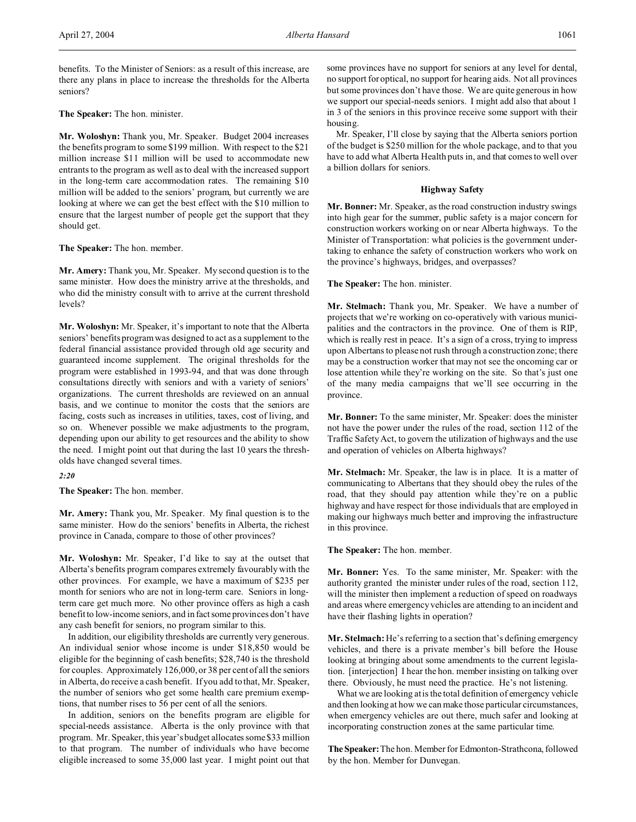benefits. To the Minister of Seniors: as a result of this increase, are there any plans in place to increase the thresholds for the Alberta seniors?

**The Speaker:** The hon. minister.

**Mr. Woloshyn:** Thank you, Mr. Speaker. Budget 2004 increases the benefits program to some \$199 million. With respect to the \$21 million increase \$11 million will be used to accommodate new entrants to the program as well as to deal with the increased support in the long-term care accommodation rates. The remaining \$10 million will be added to the seniors' program, but currently we are looking at where we can get the best effect with the \$10 million to ensure that the largest number of people get the support that they should get.

**The Speaker:** The hon. member.

**Mr. Amery:** Thank you, Mr. Speaker. My second question is to the same minister. How does the ministry arrive at the thresholds, and who did the ministry consult with to arrive at the current threshold levels?

**Mr. Woloshyn:** Mr. Speaker, it's important to note that the Alberta seniors' benefits program was designed to act as a supplement to the federal financial assistance provided through old age security and guaranteed income supplement. The original thresholds for the program were established in 1993-94, and that was done through consultations directly with seniors and with a variety of seniors' organizations. The current thresholds are reviewed on an annual basis, and we continue to monitor the costs that the seniors are facing, costs such as increases in utilities, taxes, cost of living, and so on. Whenever possible we make adjustments to the program, depending upon our ability to get resources and the ability to show the need. I might point out that during the last 10 years the thresholds have changed several times.

*2:20*

**The Speaker:** The hon. member.

**Mr. Amery:** Thank you, Mr. Speaker. My final question is to the same minister. How do the seniors' benefits in Alberta, the richest province in Canada, compare to those of other provinces?

**Mr. Woloshyn:** Mr. Speaker, I'd like to say at the outset that Alberta's benefits program compares extremely favourably with the other provinces. For example, we have a maximum of \$235 per month for seniors who are not in long-term care. Seniors in longterm care get much more. No other province offers as high a cash benefit to low-income seniors, and in fact some provinces don't have any cash benefit for seniors, no program similar to this.

In addition, our eligibility thresholds are currently very generous. An individual senior whose income is under \$18,850 would be eligible for the beginning of cash benefits; \$28,740 is the threshold for couples. Approximately 126,000, or 38 per cent of all the seniors in Alberta, do receive a cash benefit. If you add to that, Mr. Speaker, the number of seniors who get some health care premium exemptions, that number rises to 56 per cent of all the seniors.

In addition, seniors on the benefits program are eligible for special-needs assistance. Alberta is the only province with that program. Mr. Speaker, this year's budget allocates some \$33 million to that program. The number of individuals who have become eligible increased to some 35,000 last year. I might point out that some provinces have no support for seniors at any level for dental, no support for optical, no support for hearing aids. Not all provinces but some provinces don't have those. We are quite generous in how we support our special-needs seniors. I might add also that about 1 in 3 of the seniors in this province receive some support with their housing.

Mr. Speaker, I'll close by saying that the Alberta seniors portion of the budget is \$250 million for the whole package, and to that you have to add what Alberta Health puts in, and that comes to well over a billion dollars for seniors.

# **Highway Safety**

**Mr. Bonner:** Mr. Speaker, as the road construction industry swings into high gear for the summer, public safety is a major concern for construction workers working on or near Alberta highways. To the Minister of Transportation: what policies is the government undertaking to enhance the safety of construction workers who work on the province's highways, bridges, and overpasses?

**The Speaker:** The hon. minister.

**Mr. Stelmach:** Thank you, Mr. Speaker. We have a number of projects that we're working on co-operatively with various municipalities and the contractors in the province. One of them is RIP, which is really rest in peace. It's a sign of a cross, trying to impress upon Albertans to please not rush through a construction zone; there may be a construction worker that may not see the oncoming car or lose attention while they're working on the site. So that's just one of the many media campaigns that we'll see occurring in the province.

**Mr. Bonner:** To the same minister, Mr. Speaker: does the minister not have the power under the rules of the road, section 112 of the Traffic Safety Act, to govern the utilization of highways and the use and operation of vehicles on Alberta highways?

**Mr. Stelmach:** Mr. Speaker, the law is in place. It is a matter of communicating to Albertans that they should obey the rules of the road, that they should pay attention while they're on a public highway and have respect for those individuals that are employed in making our highways much better and improving the infrastructure in this province.

**The Speaker:** The hon. member.

**Mr. Bonner:** Yes. To the same minister, Mr. Speaker: with the authority granted the minister under rules of the road, section 112, will the minister then implement a reduction of speed on roadways and areas where emergency vehicles are attending to an incident and have their flashing lights in operation?

**Mr. Stelmach:** He's referring to a section that's defining emergency vehicles, and there is a private member's bill before the House looking at bringing about some amendments to the current legislation. [interjection] I hear the hon. member insisting on talking over there. Obviously, he must need the practice. He's not listening.

What we are looking at is the total definition of emergency vehicle and then looking at how we can make those particular circumstances, when emergency vehicles are out there, much safer and looking at incorporating construction zones at the same particular time.

**TheSpeaker:**The hon. Member for Edmonton-Strathcona, followed by the hon. Member for Dunvegan.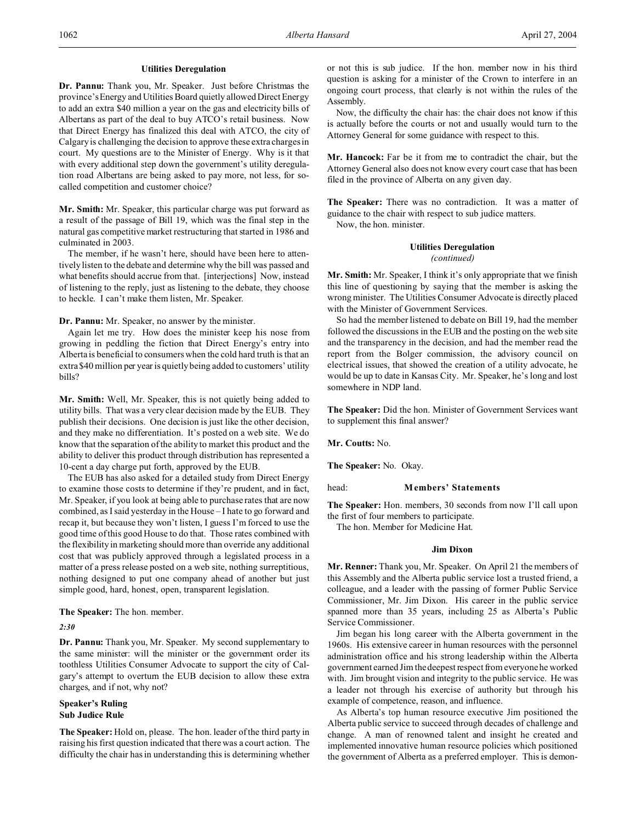# **Utilities Deregulation**

**Dr. Pannu:** Thank you, Mr. Speaker. Just before Christmas the province's Energy and Utilities Board quietly allowed Direct Energy to add an extra \$40 million a year on the gas and electricity bills of Albertans as part of the deal to buy ATCO's retail business. Now that Direct Energy has finalized this deal with ATCO, the city of Calgary is challenging the decision to approve these extra charges in court. My questions are to the Minister of Energy. Why is it that with every additional step down the government's utility deregulation road Albertans are being asked to pay more, not less, for socalled competition and customer choice?

**Mr. Smith:** Mr. Speaker, this particular charge was put forward as a result of the passage of Bill 19, which was the final step in the natural gas competitive market restructuring that started in 1986 and culminated in 2003.

The member, if he wasn't here, should have been here to attentively listen to the debate and determine why the bill was passed and what benefits should accrue from that. [interjections] Now, instead of listening to the reply, just as listening to the debate, they choose to heckle. I can't make them listen, Mr. Speaker.

**Dr. Pannu:** Mr. Speaker, no answer by the minister.

Again let me try. How does the minister keep his nose from growing in peddling the fiction that Direct Energy's entry into Alberta is beneficial to consumers when the cold hard truth is that an extra \$40 million per year is quietly being added to customers' utility bills?

**Mr. Smith:** Well, Mr. Speaker, this is not quietly being added to utility bills. That was a very clear decision made by the EUB. They publish their decisions. One decision is just like the other decision, and they make no differentiation. It's posted on a web site. We do know that the separation of the ability to market this product and the ability to deliver this product through distribution has represented a 10-cent a day charge put forth, approved by the EUB.

The EUB has also asked for a detailed study from Direct Energy to examine those costs to determine if they're prudent, and in fact, Mr. Speaker, if you look at being able to purchase rates that are now combined, as I said yesterday in the House – I hate to go forward and recap it, but because they won't listen, I guess I'm forced to use the good time of this good House to do that. Those rates combined with the flexibility in marketing should more than override any additional cost that was publicly approved through a legislated process in a matter of a press release posted on a web site, nothing surreptitious, nothing designed to put one company ahead of another but just simple good, hard, honest, open, transparent legislation.

**The Speaker:** The hon. member.

*2:30*

**Dr. Pannu:** Thank you, Mr. Speaker. My second supplementary to the same minister: will the minister or the government order its toothless Utilities Consumer Advocate to support the city of Calgary's attempt to overturn the EUB decision to allow these extra charges, and if not, why not?

# **Speaker's Ruling Sub Judice Rule**

**The Speaker:** Hold on, please. The hon. leader of the third party in raising his first question indicated that there was a court action. The difficulty the chair has in understanding this is determining whether or not this is sub judice. If the hon. member now in his third question is asking for a minister of the Crown to interfere in an ongoing court process, that clearly is not within the rules of the Assembly.

Now, the difficulty the chair has: the chair does not know if this is actually before the courts or not and usually would turn to the Attorney General for some guidance with respect to this.

**Mr. Hancock:** Far be it from me to contradict the chair, but the Attorney General also does not know every court case that has been filed in the province of Alberta on any given day.

**The Speaker:** There was no contradiction. It was a matter of guidance to the chair with respect to sub judice matters.

Now, the hon. minister.

# **Utilities Deregulation**

*(continued)*

**Mr. Smith:** Mr. Speaker, I think it's only appropriate that we finish this line of questioning by saying that the member is asking the wrong minister. The Utilities Consumer Advocate is directly placed with the Minister of Government Services.

So had the member listened to debate on Bill 19, had the member followed the discussions in the EUB and the posting on the web site and the transparency in the decision, and had the member read the report from the Bolger commission, the advisory council on electrical issues, that showed the creation of a utility advocate, he would be up to date in Kansas City. Mr. Speaker, he's long and lost somewhere in NDP land.

**The Speaker:** Did the hon. Minister of Government Services want to supplement this final answer?

**Mr. Coutts:** No.

**The Speaker:** No. Okay.

# head: **Members' Statements**

**The Speaker:** Hon. members, 30 seconds from now I'll call upon the first of four members to participate.

The hon. Member for Medicine Hat.

# **Jim Dixon**

**Mr. Renner:** Thank you, Mr. Speaker. On April 21 the members of this Assembly and the Alberta public service lost a trusted friend, a colleague, and a leader with the passing of former Public Service Commissioner, Mr. Jim Dixon. His career in the public service spanned more than 35 years, including 25 as Alberta's Public Service Commissioner.

Jim began his long career with the Alberta government in the 1960s. His extensive career in human resources with the personnel administration office and his strong leadership within the Alberta government earned Jim the deepest respect from everyone he worked with. Jim brought vision and integrity to the public service. He was a leader not through his exercise of authority but through his example of competence, reason, and influence.

As Alberta's top human resource executive Jim positioned the Alberta public service to succeed through decades of challenge and change. A man of renowned talent and insight he created and implemented innovative human resource policies which positioned the government of Alberta as a preferred employer. This is demon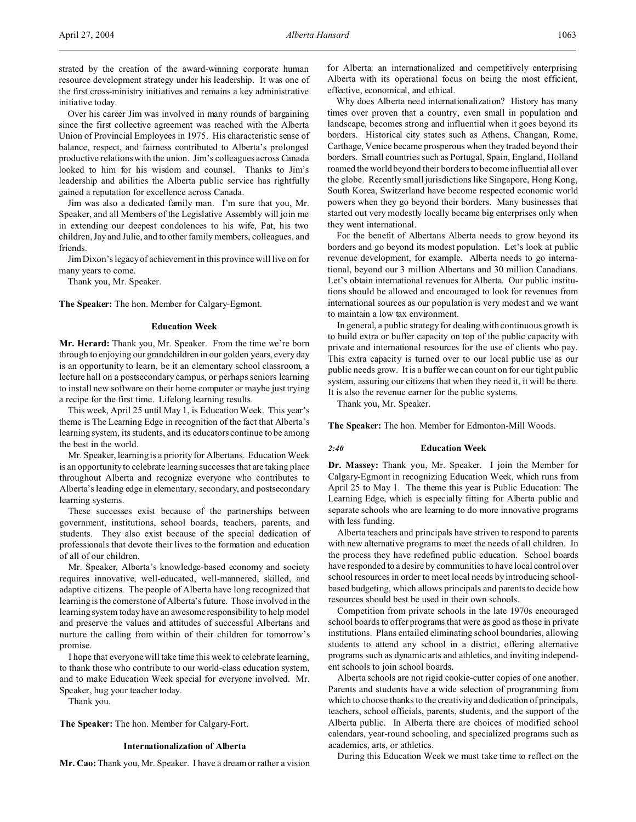strated by the creation of the award-winning corporate human resource development strategy under his leadership. It was one of the first cross-ministry initiatives and remains a key administrative initiative today.

Over his career Jim was involved in many rounds of bargaining since the first collective agreement was reached with the Alberta Union of Provincial Employees in 1975. His characteristic sense of balance, respect, and fairness contributed to Alberta's prolonged productive relations with the union. Jim's colleagues across Canada looked to him for his wisdom and counsel. Thanks to Jim's leadership and abilities the Alberta public service has rightfully gained a reputation for excellence across Canada.

Jim was also a dedicated family man. I'm sure that you, Mr. Speaker, and all Members of the Legislative Assembly will join me in extending our deepest condolences to his wife, Pat, his two children, Jay and Julie, and to other family members, colleagues, and friends.

Jim Dixon's legacy of achievement in this province will live on for many years to come.

Thank you, Mr. Speaker.

**The Speaker:** The hon. Member for Calgary-Egmont.

# **Education Week**

**Mr. Herard:** Thank you, Mr. Speaker. From the time we're born through to enjoying our grandchildren in our golden years, every day is an opportunity to learn, be it an elementary school classroom, a lecture hall on a postsecondary campus, or perhaps seniors learning to install new software on their home computer or maybe just trying a recipe for the first time. Lifelong learning results.

This week, April 25 until May 1, is Education Week. This year's theme is The Learning Edge in recognition of the fact that Alberta's learning system, its students, and its educators continue to be among the best in the world.

Mr. Speaker, learning is a priority for Albertans. Education Week is an opportunity to celebrate learning successes that are taking place throughout Alberta and recognize everyone who contributes to Alberta's leading edge in elementary, secondary, and postsecondary learning systems.

These successes exist because of the partnerships between government, institutions, school boards, teachers, parents, and students. They also exist because of the special dedication of professionals that devote their lives to the formation and education of all of our children.

Mr. Speaker, Alberta's knowledge-based economy and society requires innovative, well-educated, well-mannered, skilled, and adaptive citizens. The people of Alberta have long recognized that learning is the cornerstone of Alberta's future. Those involved in the learning system today have an awesome responsibility to help model and preserve the values and attitudes of successful Albertans and nurture the calling from within of their children for tomorrow's promise.

I hope that everyone will take time this week to celebrate learning, to thank those who contribute to our world-class education system, and to make Education Week special for everyone involved. Mr. Speaker, hug your teacher today.

Thank you.

**The Speaker:** The hon. Member for Calgary-Fort.

# **Internationalization of Alberta**

**Mr. Cao:** Thank you, Mr. Speaker. I have a dream or rather a vision

for Alberta: an internationalized and competitively enterprising Alberta with its operational focus on being the most efficient, effective, economical, and ethical.

Why does Alberta need internationalization? History has many times over proven that a country, even small in population and landscape, becomes strong and influential when it goes beyond its borders. Historical city states such as Athens, Changan, Rome, Carthage, Venice became prosperous when they traded beyond their borders. Small countries such as Portugal, Spain, England, Holland roamed the world beyond their borders to become influential all over the globe. Recently small jurisdictions like Singapore, Hong Kong, South Korea, Switzerland have become respected economic world powers when they go beyond their borders. Many businesses that started out very modestly locally became big enterprises only when they went international.

For the benefit of Albertans Alberta needs to grow beyond its borders and go beyond its modest population. Let's look at public revenue development, for example. Alberta needs to go international, beyond our 3 million Albertans and 30 million Canadians. Let's obtain international revenues for Alberta. Our public institutions should be allowed and encouraged to look for revenues from international sources as our population is very modest and we want to maintain a low tax environment.

In general, a public strategy for dealing with continuous growth is to build extra or buffer capacity on top of the public capacity with private and international resources for the use of clients who pay. This extra capacity is turned over to our local public use as our public needs grow. It is a buffer we can count on for our tight public system, assuring our citizens that when they need it, it will be there. It is also the revenue earner for the public systems.

Thank you, Mr. Speaker.

**The Speaker:** The hon. Member for Edmonton-Mill Woods.

#### *2:40* **Education Week**

**Dr. Massey:** Thank you, Mr. Speaker. I join the Member for Calgary-Egmont in recognizing Education Week, which runs from April 25 to May 1. The theme this year is Public Education: The Learning Edge, which is especially fitting for Alberta public and separate schools who are learning to do more innovative programs with less funding.

Alberta teachers and principals have striven to respond to parents with new alternative programs to meet the needs of all children. In the process they have redefined public education. School boards have responded to a desire by communities to have local control over school resources in order to meet local needs by introducing schoolbased budgeting, which allows principals and parents to decide how resources should best be used in their own schools.

Competition from private schools in the late 1970s encouraged school boards to offer programs that were as good as those in private institutions. Plans entailed eliminating school boundaries, allowing students to attend any school in a district, offering alternative programs such as dynamic arts and athletics, and inviting independent schools to join school boards.

Alberta schools are not rigid cookie-cutter copies of one another. Parents and students have a wide selection of programming from which to choose thanks to the creativity and dedication of principals, teachers, school officials, parents, students, and the support of the Alberta public. In Alberta there are choices of modified school calendars, year-round schooling, and specialized programs such as academics, arts, or athletics.

During this Education Week we must take time to reflect on the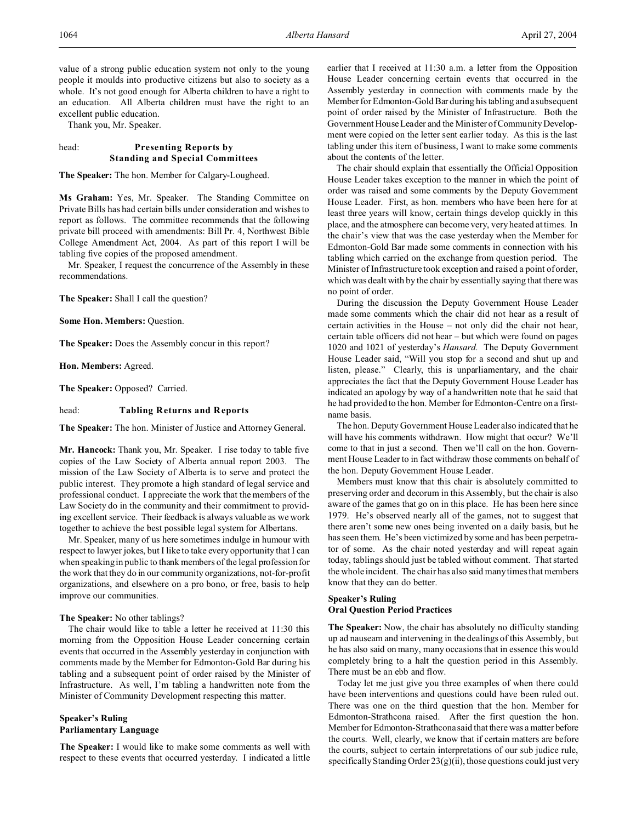value of a strong public education system not only to the young people it moulds into productive citizens but also to society as a whole. It's not good enough for Alberta children to have a right to an education. All Alberta children must have the right to an excellent public education.

Thank you, Mr. Speaker.

# head: **Presenting Reports by Standing and Special Committees**

**The Speaker:** The hon. Member for Calgary-Lougheed.

**Ms Graham:** Yes, Mr. Speaker. The Standing Committee on Private Bills has had certain bills under consideration and wishes to report as follows. The committee recommends that the following private bill proceed with amendments: Bill Pr. 4, Northwest Bible College Amendment Act, 2004. As part of this report I will be tabling five copies of the proposed amendment.

Mr. Speaker, I request the concurrence of the Assembly in these recommendations.

**The Speaker:** Shall I call the question?

**Some Hon. Members:** Question.

**The Speaker:** Does the Assembly concur in this report?

**Hon. Members:** Agreed.

**The Speaker:** Opposed? Carried.

head: **Tabling Returns and Reports**

**The Speaker:** The hon. Minister of Justice and Attorney General.

**Mr. Hancock:** Thank you, Mr. Speaker. I rise today to table five copies of the Law Society of Alberta annual report 2003. The mission of the Law Society of Alberta is to serve and protect the public interest. They promote a high standard of legal service and professional conduct. I appreciate the work that the members of the Law Society do in the community and their commitment to providing excellent service. Their feedback is always valuable as we work together to achieve the best possible legal system for Albertans.

Mr. Speaker, many of us here sometimes indulge in humour with respect to lawyer jokes, but I like to take every opportunity that I can when speaking in public to thank members of the legal profession for the work that they do in our community organizations, not-for-profit organizations, and elsewhere on a pro bono, or free, basis to help improve our communities.

# **The Speaker:** No other tablings?

The chair would like to table a letter he received at 11:30 this morning from the Opposition House Leader concerning certain events that occurred in the Assembly yesterday in conjunction with comments made by the Member for Edmonton-Gold Bar during his tabling and a subsequent point of order raised by the Minister of Infrastructure. As well, I'm tabling a handwritten note from the Minister of Community Development respecting this matter.

# **Speaker's Ruling Parliamentary Language**

**The Speaker:** I would like to make some comments as well with respect to these events that occurred yesterday. I indicated a little earlier that I received at 11:30 a.m. a letter from the Opposition House Leader concerning certain events that occurred in the Assembly yesterday in connection with comments made by the Member for Edmonton-Gold Bar during his tabling and a subsequent point of order raised by the Minister of Infrastructure. Both the Government House Leader and the Minister of Community Development were copied on the letter sent earlier today. As this is the last tabling under this item of business, I want to make some comments about the contents of the letter.

The chair should explain that essentially the Official Opposition House Leader takes exception to the manner in which the point of order was raised and some comments by the Deputy Government House Leader. First, as hon. members who have been here for at least three years will know, certain things develop quickly in this place, and the atmosphere can become very, very heated at times. In the chair's view that was the case yesterday when the Member for Edmonton-Gold Bar made some comments in connection with his tabling which carried on the exchange from question period. The Minister of Infrastructure took exception and raised a point of order, which was dealt with by the chair by essentially saying that there was no point of order.

During the discussion the Deputy Government House Leader made some comments which the chair did not hear as a result of certain activities in the House – not only did the chair not hear, certain table officers did not hear – but which were found on pages 1020 and 1021 of yesterday's *Hansard.* The Deputy Government House Leader said, "Will you stop for a second and shut up and listen, please." Clearly, this is unparliamentary, and the chair appreciates the fact that the Deputy Government House Leader has indicated an apology by way of a handwritten note that he said that he had provided to the hon. Member for Edmonton-Centre on a firstname basis.

The hon. Deputy Government House Leader also indicated that he will have his comments withdrawn. How might that occur? We'll come to that in just a second. Then we'll call on the hon. Government House Leader to in fact withdraw those comments on behalf of the hon. Deputy Government House Leader.

Members must know that this chair is absolutely committed to preserving order and decorum in this Assembly, but the chair is also aware of the games that go on in this place. He has been here since 1979. He's observed nearly all of the games, not to suggest that there aren't some new ones being invented on a daily basis, but he has seen them. He's been victimized by some and has been perpetrator of some. As the chair noted yesterday and will repeat again today, tablings should just be tabled without comment. That started the whole incident. The chair has also said many times that members know that they can do better.

# **Speaker's Ruling Oral Question Period Practices**

**The Speaker:** Now, the chair has absolutely no difficulty standing up ad nauseam and intervening in the dealings of this Assembly, but he has also said on many, many occasions that in essence this would completely bring to a halt the question period in this Assembly. There must be an ebb and flow.

Today let me just give you three examples of when there could have been interventions and questions could have been ruled out. There was one on the third question that the hon. Member for Edmonton-Strathcona raised. After the first question the hon. Member for Edmonton-Strathcona said that there was a matter before the courts. Well, clearly, we know that if certain matters are before the courts, subject to certain interpretations of our sub judice rule, specifically Standing Order  $23(g)(ii)$ , those questions could just very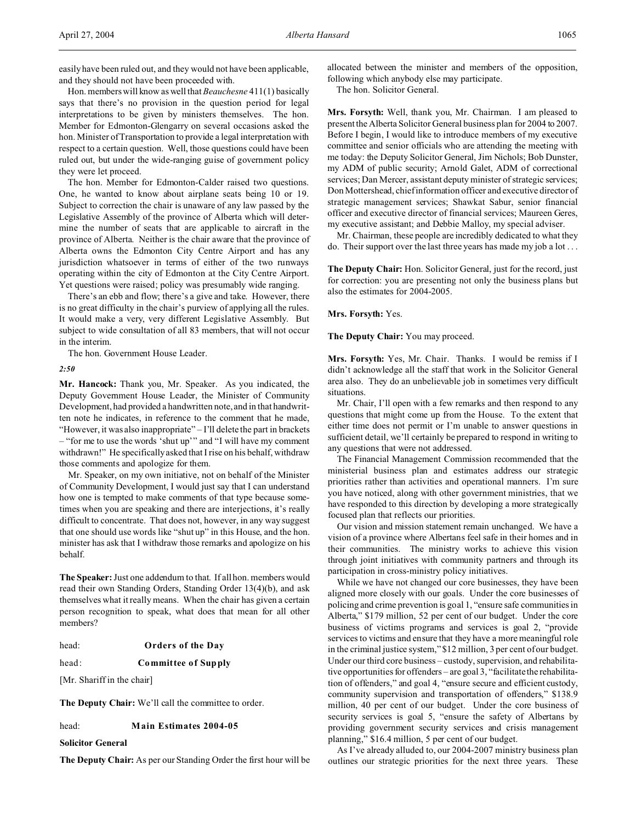easily have been ruled out, and they would not have been applicable, and they should not have been proceeded with.

Hon. members will know as well that *Beauchesne* 411(1) basically says that there's no provision in the question period for legal interpretations to be given by ministers themselves. The hon. Member for Edmonton-Glengarry on several occasions asked the hon. Minister of Transportation to provide a legal interpretation with respect to a certain question. Well, those questions could have been ruled out, but under the wide-ranging guise of government policy they were let proceed.

The hon. Member for Edmonton-Calder raised two questions. One, he wanted to know about airplane seats being 10 or 19. Subject to correction the chair is unaware of any law passed by the Legislative Assembly of the province of Alberta which will determine the number of seats that are applicable to aircraft in the province of Alberta. Neither is the chair aware that the province of Alberta owns the Edmonton City Centre Airport and has any jurisdiction whatsoever in terms of either of the two runways operating within the city of Edmonton at the City Centre Airport. Yet questions were raised; policy was presumably wide ranging.

There's an ebb and flow; there's a give and take. However, there is no great difficulty in the chair's purview of applying all the rules. It would make a very, very different Legislative Assembly. But subject to wide consultation of all 83 members, that will not occur in the interim.

The hon. Government House Leader.

*2:50*

**Mr. Hancock:** Thank you, Mr. Speaker. As you indicated, the Deputy Government House Leader, the Minister of Community Development, had provided a handwritten note, and in that handwritten note he indicates, in reference to the comment that he made, "However, it was also inappropriate" – I'll delete the part in brackets – "for me to use the words 'shut up'" and "I will have my comment withdrawn!" He specifically asked that I rise on his behalf, withdraw those comments and apologize for them.

Mr. Speaker, on my own initiative, not on behalf of the Minister of Community Development, I would just say that I can understand how one is tempted to make comments of that type because sometimes when you are speaking and there are interjections, it's really difficult to concentrate. That does not, however, in any way suggest that one should use words like "shut up" in this House, and the hon. minister has ask that I withdraw those remarks and apologize on his behalf.

**The Speaker:** Just one addendum to that. If all hon. members would read their own Standing Orders, Standing Order 13(4)(b), and ask themselves what it really means. When the chair has given a certain person recognition to speak, what does that mean for all other members?

| head: | <b>Orders of the Day</b> |  |  |  |
|-------|--------------------------|--|--|--|
|-------|--------------------------|--|--|--|

head: **Committee of Supply**

[Mr. Shariff in the chair]

**The Deputy Chair:** We'll call the committee to order.

### head: **Main Estimates 2004-05**

**Solicitor General**

**The Deputy Chair:** As per our Standing Order the first hour will be

allocated between the minister and members of the opposition, following which anybody else may participate.

The hon. Solicitor General.

**Mrs. Forsyth:** Well, thank you, Mr. Chairman. I am pleased to present the Alberta Solicitor General business plan for 2004 to 2007. Before I begin, I would like to introduce members of my executive committee and senior officials who are attending the meeting with me today: the Deputy Solicitor General, Jim Nichols; Bob Dunster, my ADM of public security; Arnold Galet, ADM of correctional services; Dan Mercer, assistant deputy minister of strategic services; Don Mottershead, chief information officer and executive director of strategic management services; Shawkat Sabur, senior financial officer and executive director of financial services; Maureen Geres, my executive assistant; and Debbie Malloy, my special adviser.

Mr. Chairman, these people are incredibly dedicated to what they do. Their support over the last three years has made my job a lot . . .

**The Deputy Chair:** Hon. Solicitor General, just for the record, just for correction: you are presenting not only the business plans but also the estimates for 2004-2005.

**Mrs. Forsyth:** Yes.

**The Deputy Chair:** You may proceed.

**Mrs. Forsyth:** Yes, Mr. Chair. Thanks. I would be remiss if I didn't acknowledge all the staff that work in the Solicitor General area also. They do an unbelievable job in sometimes very difficult situations.

Mr. Chair, I'll open with a few remarks and then respond to any questions that might come up from the House. To the extent that either time does not permit or I'm unable to answer questions in sufficient detail, we'll certainly be prepared to respond in writing to any questions that were not addressed.

The Financial Management Commission recommended that the ministerial business plan and estimates address our strategic priorities rather than activities and operational manners. I'm sure you have noticed, along with other government ministries, that we have responded to this direction by developing a more strategically focused plan that reflects our priorities.

Our vision and mission statement remain unchanged. We have a vision of a province where Albertans feel safe in their homes and in their communities. The ministry works to achieve this vision through joint initiatives with community partners and through its participation in cross-ministry policy initiatives.

While we have not changed our core businesses, they have been aligned more closely with our goals. Under the core businesses of policing and crime prevention is goal 1, "ensure safe communities in Alberta," \$179 million, 52 per cent of our budget. Under the core business of victims programs and services is goal 2, "provide services to victims and ensure that they have a more meaningful role in the criminal justice system," \$12 million, 3 per cent of our budget. Under our third core business – custody, supervision, and rehabilitative opportunities for offenders – are goal 3, "facilitate the rehabilitation of offenders," and goal 4, "ensure secure and efficient custody, community supervision and transportation of offenders," \$138.9 million, 40 per cent of our budget. Under the core business of security services is goal 5, "ensure the safety of Albertans by providing government security services and crisis management planning," \$16.4 million, 5 per cent of our budget.

As I've already alluded to, our 2004-2007 ministry business plan outlines our strategic priorities for the next three years. These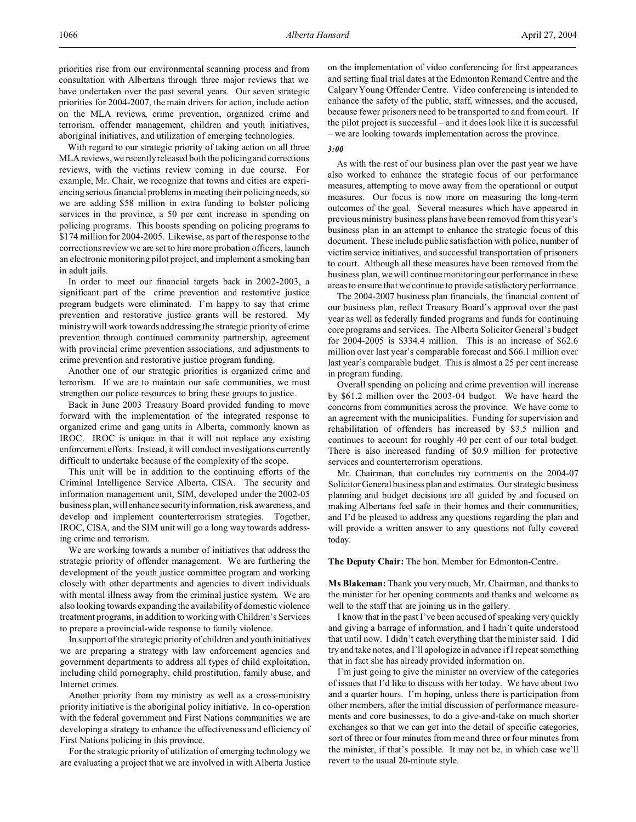priorities rise from our environmental scanning process and from consultation with Albertans through three major reviews that we have undertaken over the past several years. Our seven strategic priorities for 2004-2007, the main drivers for action, include action on the MLA reviews, crime prevention, organized crime and terrorism, offender management, children and youth initiatives, aboriginal initiatives, and utilization of emerging technologies.

With regard to our strategic priority of taking action on all three MLA reviews, we recently released both the policing and corrections reviews, with the victims review coming in due course. For example, Mr. Chair, we recognize that towns and cities are experiencing serious financial problems in meeting their policing needs, so we are adding \$58 million in extra funding to bolster policing services in the province, a 50 per cent increase in spending on policing programs. This boosts spending on policing programs to \$174 million for 2004-2005. Likewise, as part of the response to the corrections review we are set to hire more probation officers, launch an electronic monitoring pilot project, and implement a smoking ban in adult jails.

In order to meet our financial targets back in 2002-2003, a significant part of the crime prevention and restorative justice program budgets were eliminated. I'm happy to say that crime prevention and restorative justice grants will be restored. My ministry will work towards addressing the strategic priority of crime prevention through continued community partnership, agreement with provincial crime prevention associations, and adjustments to crime prevention and restorative justice program funding.

Another one of our strategic priorities is organized crime and terrorism. If we are to maintain our safe communities, we must strengthen our police resources to bring these groups to justice.

Back in June 2003 Treasury Board provided funding to move forward with the implementation of the integrated response to organized crime and gang units in Alberta, commonly known as IROC. IROC is unique in that it will not replace any existing enforcement efforts. Instead, it will conduct investigations currently difficult to undertake because of the complexity of the scope.

This unit will be in addition to the continuing efforts of the Criminal Intelligence Service Alberta, CISA. The security and information management unit, SIM, developed under the 2002-05 business plan, will enhance security information, risk awareness, and develop and implement counterterrorism strategies. Together, IROC, CISA, and the SIM unit will go a long way towards addressing crime and terrorism.

We are working towards a number of initiatives that address the strategic priority of offender management. We are furthering the development of the youth justice committee program and working closely with other departments and agencies to divert individuals with mental illness away from the criminal justice system. We are also looking towards expanding the availability of domestic violence treatment programs, in addition to working with Children's Services to prepare a provincial-wide response to family violence.

In support of the strategic priority of children and youth initiatives we are preparing a strategy with law enforcement agencies and government departments to address all types of child exploitation, including child pornography, child prostitution, family abuse, and Internet crimes.

Another priority from my ministry as well as a cross-ministry priority initiative is the aboriginal policy initiative. In co-operation with the federal government and First Nations communities we are developing a strategy to enhance the effectiveness and efficiency of First Nations policing in this province.

For the strategic priority of utilization of emerging technology we are evaluating a project that we are involved in with Alberta Justice

on the implementation of video conferencing for first appearances and setting final trial dates at the Edmonton Remand Centre and the Calgary Young Offender Centre. Video conferencing is intended to enhance the safety of the public, staff, witnesses, and the accused, because fewer prisoners need to be transported to and from court. If the pilot project is successful – and it does look like it is successful – we are looking towards implementation across the province.

### *3:00*

As with the rest of our business plan over the past year we have also worked to enhance the strategic focus of our performance measures, attempting to move away from the operational or output measures. Our focus is now more on measuring the long-term outcomes of the goal. Several measures which have appeared in previous ministry business plans have been removed from this year's business plan in an attempt to enhance the strategic focus of this document. These include public satisfaction with police, number of victim service initiatives, and successful transportation of prisoners to court. Although all these measures have been removed from the business plan, we will continue monitoring our performance in these areas to ensure that we continue to provide satisfactory performance.

The 2004-2007 business plan financials, the financial content of our business plan, reflect Treasury Board's approval over the past year as well as federally funded programs and funds for continuing core programs and services. The Alberta Solicitor General's budget for 2004-2005 is \$334.4 million. This is an increase of \$62.6 million over last year's comparable forecast and \$66.1 million over last year's comparable budget. This is almost a 25 per cent increase in program funding.

Overall spending on policing and crime prevention will increase by \$61.2 million over the 2003-04 budget. We have heard the concerns from communities across the province. We have come to an agreement with the municipalities. Funding for supervision and rehabilitation of offenders has increased by \$3.5 million and continues to account for roughly 40 per cent of our total budget. There is also increased funding of \$0.9 million for protective services and counterterrorism operations.

Mr. Chairman, that concludes my comments on the 2004-07 Solicitor General business plan and estimates. Our strategic business planning and budget decisions are all guided by and focused on making Albertans feel safe in their homes and their communities, and I'd be pleased to address any questions regarding the plan and will provide a written answer to any questions not fully covered today.

**The Deputy Chair:** The hon. Member for Edmonton-Centre.

**Ms Blakeman:** Thank you very much, Mr. Chairman, and thanks to the minister for her opening comments and thanks and welcome as well to the staff that are joining us in the gallery.

I know that in the past I've been accused of speaking very quickly and giving a barrage of information, and I hadn't quite understood that until now. I didn't catch everything that the minister said. I did try and take notes, and I'll apologize in advance if I repeat something that in fact she has already provided information on.

I'm just going to give the minister an overview of the categories of issues that I'd like to discuss with her today. We have about two and a quarter hours. I'm hoping, unless there is participation from other members, after the initial discussion of performance measurements and core businesses, to do a give-and-take on much shorter exchanges so that we can get into the detail of specific categories, sort of three or four minutes from me and three or four minutes from the minister, if that's possible. It may not be, in which case we'll revert to the usual 20-minute style.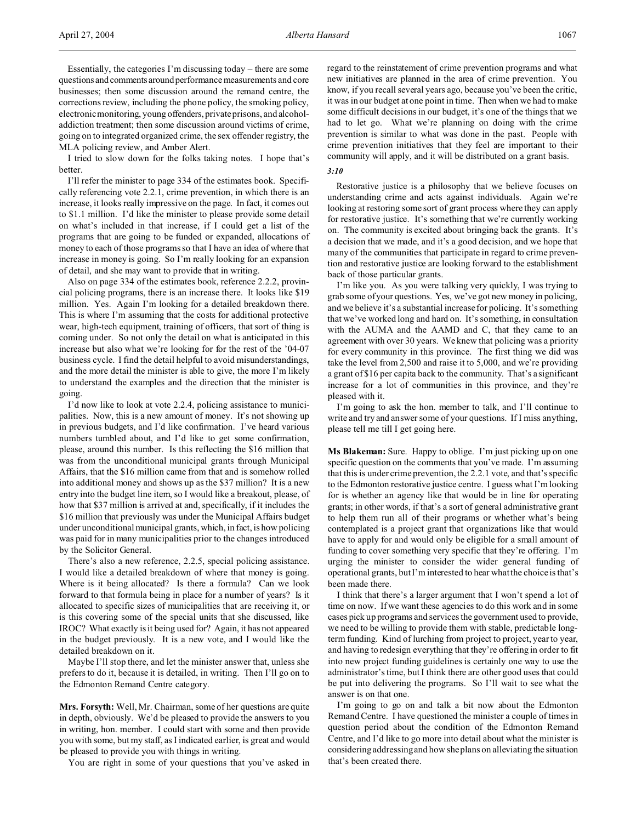Essentially, the categories I'm discussing today – there are some questions and comments aroundperformance measurements and core businesses; then some discussion around the remand centre, the corrections review, including the phone policy, the smoking policy, electronic monitoring, young offenders, private prisons, and alcoholaddiction treatment; then some discussion around victims of crime, going on to integrated organized crime, the sex offender registry, the MLA policing review, and Amber Alert.

I tried to slow down for the folks taking notes. I hope that's better.

I'll refer the minister to page 334 of the estimates book. Specifically referencing vote 2.2.1, crime prevention, in which there is an increase, it looks really impressive on the page. In fact, it comes out to \$1.1 million. I'd like the minister to please provide some detail on what's included in that increase, if I could get a list of the programs that are going to be funded or expanded, allocations of money to each of those programs so that I have an idea of where that increase in money is going. So I'm really looking for an expansion of detail, and she may want to provide that in writing.

Also on page 334 of the estimates book, reference 2.2.2, provincial policing programs, there is an increase there. It looks like \$19 million. Yes. Again I'm looking for a detailed breakdown there. This is where I'm assuming that the costs for additional protective wear, high-tech equipment, training of officers, that sort of thing is coming under. So not only the detail on what is anticipated in this increase but also what we're looking for for the rest of the '04-07 business cycle. I find the detail helpful to avoid misunderstandings, and the more detail the minister is able to give, the more I'm likely to understand the examples and the direction that the minister is going.

I'd now like to look at vote 2.2.4, policing assistance to municipalities. Now, this is a new amount of money. It's not showing up in previous budgets, and I'd like confirmation. I've heard various numbers tumbled about, and I'd like to get some confirmation, please, around this number. Is this reflecting the \$16 million that was from the unconditional municipal grants through Municipal Affairs, that the \$16 million came from that and is somehow rolled into additional money and shows up as the \$37 million? It is a new entry into the budget line item, so I would like a breakout, please, of how that \$37 million is arrived at and, specifically, if it includes the \$16 million that previously was under the Municipal Affairs budget under unconditional municipal grants, which, in fact, is how policing was paid for in many municipalities prior to the changes introduced by the Solicitor General.

There's also a new reference, 2.2.5, special policing assistance. I would like a detailed breakdown of where that money is going. Where is it being allocated? Is there a formula? Can we look forward to that formula being in place for a number of years? Is it allocated to specific sizes of municipalities that are receiving it, or is this covering some of the special units that she discussed, like IROC? What exactly is it being used for? Again, it has not appeared in the budget previously. It is a new vote, and I would like the detailed breakdown on it.

Maybe I'll stop there, and let the minister answer that, unless she prefers to do it, because it is detailed, in writing. Then I'll go on to the Edmonton Remand Centre category.

**Mrs. Forsyth:** Well, Mr. Chairman, some of her questions are quite in depth, obviously. We'd be pleased to provide the answers to you in writing, hon. member. I could start with some and then provide you with some, but my staff, as I indicated earlier, is great and would be pleased to provide you with things in writing.

You are right in some of your questions that you've asked in

regard to the reinstatement of crime prevention programs and what new initiatives are planned in the area of crime prevention. You know, if you recall several years ago, because you've been the critic, it was in our budget at one point in time. Then when we had to make some difficult decisions in our budget, it's one of the things that we had to let go. What we're planning on doing with the crime prevention is similar to what was done in the past. People with crime prevention initiatives that they feel are important to their community will apply, and it will be distributed on a grant basis.

### *3:10*

Restorative justice is a philosophy that we believe focuses on understanding crime and acts against individuals. Again we're looking at restoring some sort of grant process where they can apply for restorative justice. It's something that we're currently working on. The community is excited about bringing back the grants. It's a decision that we made, and it's a good decision, and we hope that many of the communities that participate in regard to crime prevention and restorative justice are looking forward to the establishment back of those particular grants.

I'm like you. As you were talking very quickly, I was trying to grab some of your questions. Yes, we've got new money in policing, and we believe it's a substantial increase for policing. It's something that we've worked long and hard on. It's something, in consultation with the AUMA and the AAMD and C, that they came to an agreement with over 30 years. We knew that policing was a priority for every community in this province. The first thing we did was take the level from 2,500 and raise it to 5,000, and we're providing a grant of \$16 per capita back to the community. That's a significant increase for a lot of communities in this province, and they're pleased with it.

I'm going to ask the hon. member to talk, and I'll continue to write and try and answer some of your questions. If I miss anything, please tell me till I get going here.

**Ms Blakeman:** Sure. Happy to oblige. I'm just picking up on one specific question on the comments that you've made. I'm assuming that this is under crime prevention, the 2.2.1 vote, and that's specific to the Edmonton restorative justice centre. I guess what I'm looking for is whether an agency like that would be in line for operating grants; in other words, if that's a sort of general administrative grant to help them run all of their programs or whether what's being contemplated is a project grant that organizations like that would have to apply for and would only be eligible for a small amount of funding to cover something very specific that they're offering. I'm urging the minister to consider the wider general funding of operational grants, but I'm interested to hear what the choice is that's been made there.

I think that there's a larger argument that I won't spend a lot of time on now. If we want these agencies to do this work and in some cases pick up programs and services the government used to provide, we need to be willing to provide them with stable, predictable longterm funding. Kind of lurching from project to project, year to year, and having to redesign everything that they're offering in order to fit into new project funding guidelines is certainly one way to use the administrator's time, but I think there are other good uses that could be put into delivering the programs. So I'll wait to see what the answer is on that one.

I'm going to go on and talk a bit now about the Edmonton Remand Centre. I have questioned the minister a couple of times in question period about the condition of the Edmonton Remand Centre, and I'd like to go more into detail about what the minister is considering addressing and how she plans on alleviating the situation that's been created there.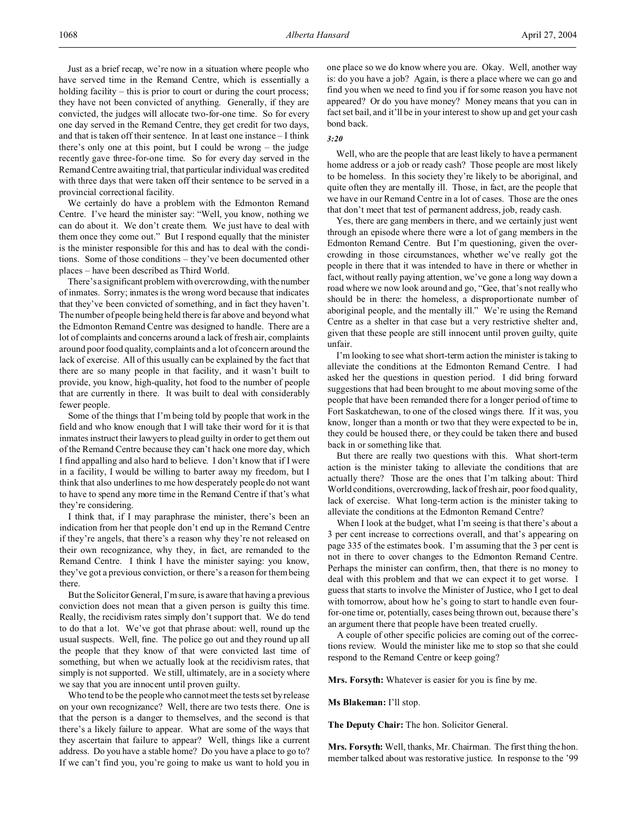Just as a brief recap, we're now in a situation where people who have served time in the Remand Centre, which is essentially a holding facility – this is prior to court or during the court process; they have not been convicted of anything. Generally, if they are convicted, the judges will allocate two-for-one time. So for every one day served in the Remand Centre, they get credit for two days, and that is taken off their sentence. In at least one instance – I think there's only one at this point, but I could be wrong – the judge recently gave three-for-one time. So for every day served in the Remand Centre awaiting trial, that particular individual was credited with three days that were taken off their sentence to be served in a provincial correctional facility.

We certainly do have a problem with the Edmonton Remand Centre. I've heard the minister say: "Well, you know, nothing we can do about it. We don't create them. We just have to deal with them once they come out." But I respond equally that the minister is the minister responsible for this and has to deal with the conditions. Some of those conditions – they've been documented other places – have been described as Third World.

There's a significant problem with overcrowding, with the number of inmates. Sorry; inmates is the wrong word because that indicates that they've been convicted of something, and in fact they haven't. The number of people being held there is far above and beyond what the Edmonton Remand Centre was designed to handle. There are a lot of complaints and concerns around a lack of fresh air, complaints around poor food quality, complaints and a lot of concern around the lack of exercise. All of this usually can be explained by the fact that there are so many people in that facility, and it wasn't built to provide, you know, high-quality, hot food to the number of people that are currently in there. It was built to deal with considerably fewer people.

Some of the things that I'm being told by people that work in the field and who know enough that I will take their word for it is that inmates instruct their lawyers to plead guilty in order to get them out of the Remand Centre because they can't hack one more day, which I find appalling and also hard to believe. I don't know that if I were in a facility, I would be willing to barter away my freedom, but I think that also underlines to me how desperately people do not want to have to spend any more time in the Remand Centre if that's what they're considering.

I think that, if I may paraphrase the minister, there's been an indication from her that people don't end up in the Remand Centre if they're angels, that there's a reason why they're not released on their own recognizance, why they, in fact, are remanded to the Remand Centre. I think I have the minister saying: you know, they've got a previous conviction, or there's a reason for them being there.

But the Solicitor General, I'm sure, is aware that having a previous conviction does not mean that a given person is guilty this time. Really, the recidivism rates simply don't support that. We do tend to do that a lot. We've got that phrase about: well, round up the usual suspects. Well, fine. The police go out and they round up all the people that they know of that were convicted last time of something, but when we actually look at the recidivism rates, that simply is not supported. We still, ultimately, are in a society where we say that you are innocent until proven guilty.

Who tend to be the people who cannot meet the tests set by release on your own recognizance? Well, there are two tests there. One is that the person is a danger to themselves, and the second is that there's a likely failure to appear. What are some of the ways that they ascertain that failure to appear? Well, things like a current address. Do you have a stable home? Do you have a place to go to? If we can't find you, you're going to make us want to hold you in

one place so we do know where you are. Okay. Well, another way is: do you have a job? Again, is there a place where we can go and find you when we need to find you if for some reason you have not appeared? Or do you have money? Money means that you can in fact set bail, and it'll be in your interest to show up and get your cash bond back.

### *3:20*

Well, who are the people that are least likely to have a permanent home address or a job or ready cash? Those people are most likely to be homeless. In this society they're likely to be aboriginal, and quite often they are mentally ill. Those, in fact, are the people that we have in our Remand Centre in a lot of cases. Those are the ones that don't meet that test of permanent address, job, ready cash.

Yes, there are gang members in there, and we certainly just went through an episode where there were a lot of gang members in the Edmonton Remand Centre. But I'm questioning, given the overcrowding in those circumstances, whether we've really got the people in there that it was intended to have in there or whether in fact, without really paying attention, we've gone a long way down a road where we now look around and go, "Gee, that's not really who should be in there: the homeless, a disproportionate number of aboriginal people, and the mentally ill." We're using the Remand Centre as a shelter in that case but a very restrictive shelter and, given that these people are still innocent until proven guilty, quite unfair.

I'm looking to see what short-term action the minister is taking to alleviate the conditions at the Edmonton Remand Centre. I had asked her the questions in question period. I did bring forward suggestions that had been brought to me about moving some of the people that have been remanded there for a longer period of time to Fort Saskatchewan, to one of the closed wings there. If it was, you know, longer than a month or two that they were expected to be in, they could be housed there, or they could be taken there and bused back in or something like that.

But there are really two questions with this. What short-term action is the minister taking to alleviate the conditions that are actually there? Those are the ones that I'm talking about: Third World conditions, overcrowding, lack of fresh air, poor food quality, lack of exercise. What long-term action is the minister taking to alleviate the conditions at the Edmonton Remand Centre?

When I look at the budget, what I'm seeing is that there's about a 3 per cent increase to corrections overall, and that's appearing on page 335 of the estimates book. I'm assuming that the 3 per cent is not in there to cover changes to the Edmonton Remand Centre. Perhaps the minister can confirm, then, that there is no money to deal with this problem and that we can expect it to get worse. I guess that starts to involve the Minister of Justice, who I get to deal with tomorrow, about how he's going to start to handle even fourfor-one time or, potentially, cases being thrown out, because there's an argument there that people have been treated cruelly.

A couple of other specific policies are coming out of the corrections review. Would the minister like me to stop so that she could respond to the Remand Centre or keep going?

**Mrs. Forsyth:** Whatever is easier for you is fine by me.

**Ms Blakeman:** I'll stop.

**The Deputy Chair:** The hon. Solicitor General.

**Mrs. Forsyth:** Well, thanks, Mr. Chairman. The first thing the hon. member talked about was restorative justice. In response to the '99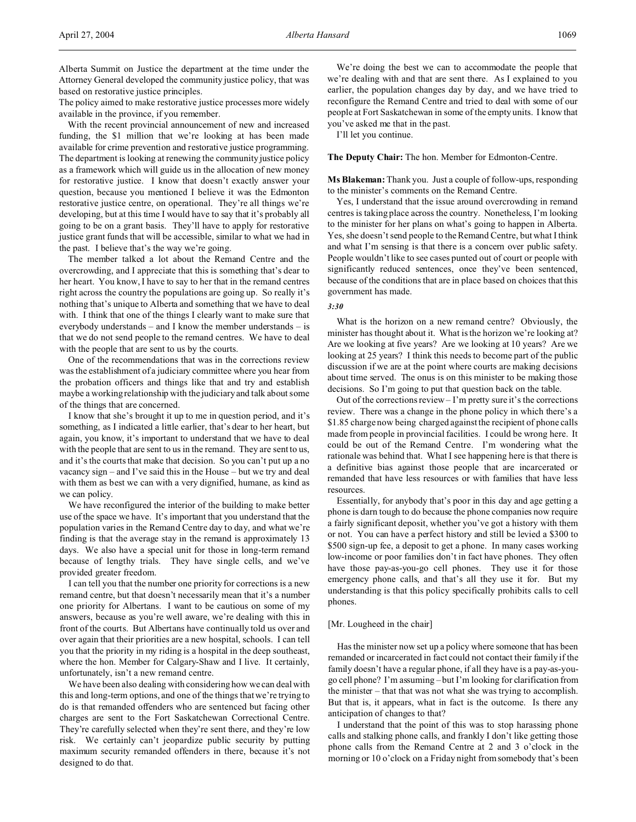Alberta Summit on Justice the department at the time under the Attorney General developed the community justice policy, that was based on restorative justice principles.

The policy aimed to make restorative justice processes more widely available in the province, if you remember.

With the recent provincial announcement of new and increased funding, the \$1 million that we're looking at has been made available for crime prevention and restorative justice programming. The department is looking at renewing the community justice policy as a framework which will guide us in the allocation of new money for restorative justice. I know that doesn't exactly answer your question, because you mentioned I believe it was the Edmonton restorative justice centre, on operational. They're all things we're developing, but at this time I would have to say that it's probably all going to be on a grant basis. They'll have to apply for restorative justice grant funds that will be accessible, similar to what we had in the past. I believe that's the way we're going.

The member talked a lot about the Remand Centre and the overcrowding, and I appreciate that this is something that's dear to her heart. You know, I have to say to her that in the remand centres right across the country the populations are going up. So really it's nothing that's unique to Alberta and something that we have to deal with. I think that one of the things I clearly want to make sure that everybody understands – and I know the member understands – is that we do not send people to the remand centres. We have to deal with the people that are sent to us by the courts.

One of the recommendations that was in the corrections review was the establishment of a judiciary committee where you hear from the probation officers and things like that and try and establish maybe a working relationship with the judiciary and talk about some of the things that are concerned.

I know that she's brought it up to me in question period, and it's something, as I indicated a little earlier, that's dear to her heart, but again, you know, it's important to understand that we have to deal with the people that are sent to us in the remand. They are sent to us, and it's the courts that make that decision. So you can't put up a no vacancy sign – and I've said this in the House – but we try and deal with them as best we can with a very dignified, humane, as kind as we can policy.

We have reconfigured the interior of the building to make better use of the space we have. It's important that you understand that the population varies in the Remand Centre day to day, and what we're finding is that the average stay in the remand is approximately 13 days. We also have a special unit for those in long-term remand because of lengthy trials. They have single cells, and we've provided greater freedom.

I can tell you that the number one priority for corrections is a new remand centre, but that doesn't necessarily mean that it's a number one priority for Albertans. I want to be cautious on some of my answers, because as you're well aware, we're dealing with this in front of the courts. But Albertans have continually told us over and over again that their priorities are a new hospital, schools. I can tell you that the priority in my riding is a hospital in the deep southeast, where the hon. Member for Calgary-Shaw and I live. It certainly, unfortunately, isn't a new remand centre.

We have been also dealing with considering how we can deal with this and long-term options, and one of the things that we're trying to do is that remanded offenders who are sentenced but facing other charges are sent to the Fort Saskatchewan Correctional Centre. They're carefully selected when they're sent there, and they're low risk. We certainly can't jeopardize public security by putting maximum security remanded offenders in there, because it's not designed to do that.

We're doing the best we can to accommodate the people that we're dealing with and that are sent there. As I explained to you earlier, the population changes day by day, and we have tried to reconfigure the Remand Centre and tried to deal with some of our people at Fort Saskatchewan in some of the empty units. I know that you've asked me that in the past.

I'll let you continue.

**The Deputy Chair:** The hon. Member for Edmonton-Centre.

**Ms Blakeman:** Thank you. Just a couple of follow-ups, responding to the minister's comments on the Remand Centre.

Yes, I understand that the issue around overcrowding in remand centres is taking place across the country. Nonetheless, I'm looking to the minister for her plans on what's going to happen in Alberta. Yes, she doesn't send people to the Remand Centre, but what I think and what I'm sensing is that there is a concern over public safety. People wouldn't like to see cases punted out of court or people with significantly reduced sentences, once they've been sentenced, because of the conditions that are in place based on choices that this government has made.

# *3:30*

What is the horizon on a new remand centre? Obviously, the minister has thought about it. What is the horizon we're looking at? Are we looking at five years? Are we looking at 10 years? Are we looking at 25 years? I think this needs to become part of the public discussion if we are at the point where courts are making decisions about time served. The onus is on this minister to be making those decisions. So I'm going to put that question back on the table.

Out of the corrections review – I'm pretty sure it's the corrections review. There was a change in the phone policy in which there's a \$1.85 charge now being charged against the recipient of phone calls made from people in provincial facilities. I could be wrong here. It could be out of the Remand Centre. I'm wondering what the rationale was behind that. What I see happening here is that there is a definitive bias against those people that are incarcerated or remanded that have less resources or with families that have less resources.

Essentially, for anybody that's poor in this day and age getting a phone is darn tough to do because the phone companies now require a fairly significant deposit, whether you've got a history with them or not. You can have a perfect history and still be levied a \$300 to \$500 sign-up fee, a deposit to get a phone. In many cases working low-income or poor families don't in fact have phones. They often have those pay-as-you-go cell phones. They use it for those emergency phone calls, and that's all they use it for. But my understanding is that this policy specifically prohibits calls to cell phones.

### [Mr. Lougheed in the chair]

Has the minister now set up a policy where someone that has been remanded or incarcerated in fact could not contact their family if the family doesn't have a regular phone, if all they have is a pay-as-yougo cell phone? I'm assuming – but I'm looking for clarification from the minister – that that was not what she was trying to accomplish. But that is, it appears, what in fact is the outcome. Is there any anticipation of changes to that?

I understand that the point of this was to stop harassing phone calls and stalking phone calls, and frankly I don't like getting those phone calls from the Remand Centre at 2 and 3 o'clock in the morning or 10 o'clock on a Friday night from somebody that's been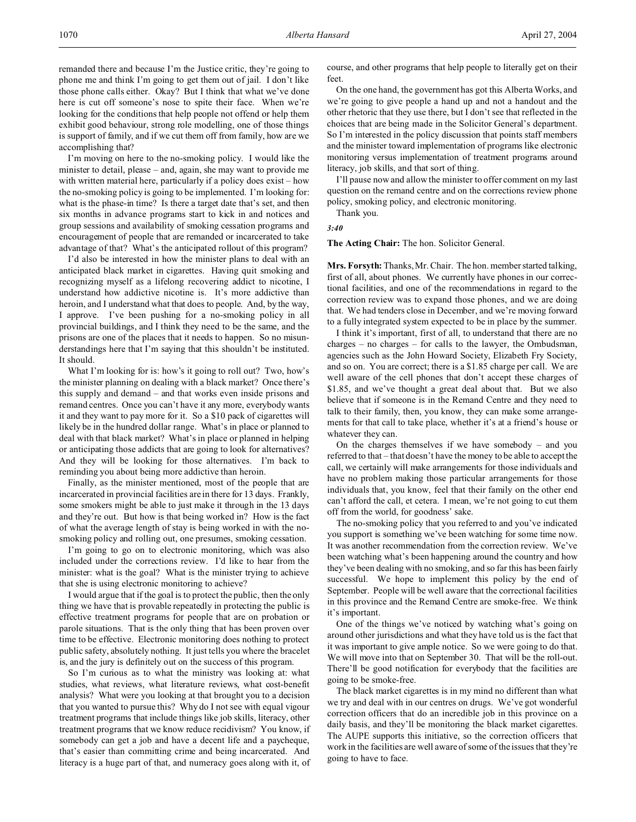I'm moving on here to the no-smoking policy. I would like the minister to detail, please – and, again, she may want to provide me with written material here, particularly if a policy does exist – how the no-smoking policy is going to be implemented. I'm looking for: what is the phase-in time? Is there a target date that's set, and then six months in advance programs start to kick in and notices and group sessions and availability of smoking cessation programs and encouragement of people that are remanded or incarcerated to take advantage of that? What's the anticipated rollout of this program?

I'd also be interested in how the minister plans to deal with an anticipated black market in cigarettes. Having quit smoking and recognizing myself as a lifelong recovering addict to nicotine, I understand how addictive nicotine is. It's more addictive than heroin, and I understand what that does to people. And, by the way, I approve. I've been pushing for a no-smoking policy in all provincial buildings, and I think they need to be the same, and the prisons are one of the places that it needs to happen. So no misunderstandings here that I'm saying that this shouldn't be instituted. It should.

What I'm looking for is: how's it going to roll out? Two, how's the minister planning on dealing with a black market? Once there's this supply and demand – and that works even inside prisons and remand centres. Once you can't have it any more, everybody wants it and they want to pay more for it. So a \$10 pack of cigarettes will likely be in the hundred dollar range. What's in place or planned to deal with that black market? What's in place or planned in helping or anticipating those addicts that are going to look for alternatives? And they will be looking for those alternatives. I'm back to reminding you about being more addictive than heroin.

Finally, as the minister mentioned, most of the people that are incarcerated in provincial facilities are in there for 13 days. Frankly, some smokers might be able to just make it through in the 13 days and they're out. But how is that being worked in? How is the fact of what the average length of stay is being worked in with the nosmoking policy and rolling out, one presumes, smoking cessation.

I'm going to go on to electronic monitoring, which was also included under the corrections review. I'd like to hear from the minister: what is the goal? What is the minister trying to achieve that she is using electronic monitoring to achieve?

I would argue that if the goal is to protect the public, then the only thing we have that is provable repeatedly in protecting the public is effective treatment programs for people that are on probation or parole situations. That is the only thing that has been proven over time to be effective. Electronic monitoring does nothing to protect public safety, absolutely nothing. It just tells you where the bracelet is, and the jury is definitely out on the success of this program.

So I'm curious as to what the ministry was looking at: what studies, what reviews, what literature reviews, what cost-benefit analysis? What were you looking at that brought you to a decision that you wanted to pursue this? Why do I not see with equal vigour treatment programs that include things like job skills, literacy, other treatment programs that we know reduce recidivism? You know, if somebody can get a job and have a decent life and a paycheque, that's easier than committing crime and being incarcerated. And literacy is a huge part of that, and numeracy goes along with it, of

course, and other programs that help people to literally get on their feet.

On the one hand, the government has got this Alberta Works, and we're going to give people a hand up and not a handout and the other rhetoric that they use there, but I don't see that reflected in the choices that are being made in the Solicitor General's department. So I'm interested in the policy discussion that points staff members and the minister toward implementation of programs like electronic monitoring versus implementation of treatment programs around literacy, job skills, and that sort of thing.

I'll pause now and allow the minister to offer comment on my last question on the remand centre and on the corrections review phone policy, smoking policy, and electronic monitoring.

Thank you.

*3:40*

**The Acting Chair:** The hon. Solicitor General.

**Mrs. Forsyth:** Thanks, Mr. Chair. The hon. member started talking, first of all, about phones. We currently have phones in our correctional facilities, and one of the recommendations in regard to the correction review was to expand those phones, and we are doing that. We had tenders close in December, and we're moving forward to a fully integrated system expected to be in place by the summer.

I think it's important, first of all, to understand that there are no charges – no charges – for calls to the lawyer, the Ombudsman, agencies such as the John Howard Society, Elizabeth Fry Society, and so on. You are correct; there is a \$1.85 charge per call. We are well aware of the cell phones that don't accept these charges of \$1.85, and we've thought a great deal about that. But we also believe that if someone is in the Remand Centre and they need to talk to their family, then, you know, they can make some arrangements for that call to take place, whether it's at a friend's house or whatever they can.

On the charges themselves if we have somebody – and you referred to that – that doesn't have the money to be able to accept the call, we certainly will make arrangements for those individuals and have no problem making those particular arrangements for those individuals that, you know, feel that their family on the other end can't afford the call, et cetera. I mean, we're not going to cut them off from the world, for goodness' sake.

The no-smoking policy that you referred to and you've indicated you support is something we've been watching for some time now. It was another recommendation from the correction review. We've been watching what's been happening around the country and how they've been dealing with no smoking, and so far this has been fairly successful. We hope to implement this policy by the end of September. People will be well aware that the correctional facilities in this province and the Remand Centre are smoke-free. We think it's important.

One of the things we've noticed by watching what's going on around other jurisdictions and what they have told us is the fact that it was important to give ample notice. So we were going to do that. We will move into that on September 30. That will be the roll-out. There'll be good notification for everybody that the facilities are going to be smoke-free.

The black market cigarettes is in my mind no different than what we try and deal with in our centres on drugs. We've got wonderful correction officers that do an incredible job in this province on a daily basis, and they'll be monitoring the black market cigarettes. The AUPE supports this initiative, so the correction officers that work in the facilities are well aware of some of the issues that they're going to have to face.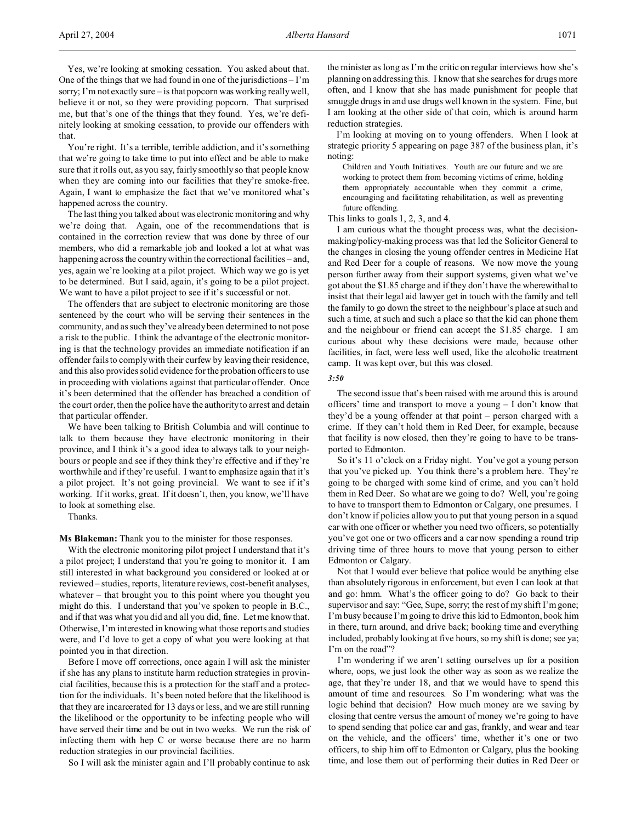Yes, we're looking at smoking cessation. You asked about that. One of the things that we had found in one of the jurisdictions – I'm sorry; I'm not exactly sure – is that popcorn was working really well, believe it or not, so they were providing popcorn. That surprised me, but that's one of the things that they found. Yes, we're definitely looking at smoking cessation, to provide our offenders with that.

You're right. It's a terrible, terrible addiction, and it's something that we're going to take time to put into effect and be able to make sure that it rolls out, as you say, fairly smoothly so that people know when they are coming into our facilities that they're smoke-free. Again, I want to emphasize the fact that we've monitored what's happened across the country.

The last thing you talked about was electronic monitoring and why we're doing that. Again, one of the recommendations that is contained in the correction review that was done by three of our members, who did a remarkable job and looked a lot at what was happening across the country within the correctional facilities – and, yes, again we're looking at a pilot project. Which way we go is yet to be determined. But I said, again, it's going to be a pilot project. We want to have a pilot project to see if it's successful or not.

The offenders that are subject to electronic monitoring are those sentenced by the court who will be serving their sentences in the community, and as such they've already been determined to not pose a risk to the public. I think the advantage of the electronic monitoring is that the technology provides an immediate notification if an offender fails to comply with their curfew by leaving their residence, and this also provides solid evidence for the probation officers to use in proceeding with violations against that particular offender. Once it's been determined that the offender has breached a condition of the court order, then the police have the authority to arrest and detain that particular offender.

We have been talking to British Columbia and will continue to talk to them because they have electronic monitoring in their province, and I think it's a good idea to always talk to your neighbours or people and see if they think they're effective and if they're worthwhile and if they're useful. I want to emphasize again that it's a pilot project. It's not going provincial. We want to see if it's working. If it works, great. If it doesn't, then, you know, we'll have to look at something else.

Thanks.

**Ms Blakeman:** Thank you to the minister for those responses.

With the electronic monitoring pilot project I understand that it's a pilot project; I understand that you're going to monitor it. I am still interested in what background you considered or looked at or reviewed – studies, reports, literature reviews, cost-benefit analyses, whatever – that brought you to this point where you thought you might do this. I understand that you've spoken to people in B.C., and if that was what you did and all you did, fine. Let me know that. Otherwise, I'm interested in knowing what those reports and studies were, and I'd love to get a copy of what you were looking at that pointed you in that direction.

Before I move off corrections, once again I will ask the minister if she has any plans to institute harm reduction strategies in provincial facilities, because this is a protection for the staff and a protection for the individuals. It's been noted before that the likelihood is that they are incarcerated for 13 days or less, and we are still running the likelihood or the opportunity to be infecting people who will have served their time and be out in two weeks. We run the risk of infecting them with hep C or worse because there are no harm reduction strategies in our provincial facilities.

So I will ask the minister again and I'll probably continue to ask

the minister as long as I'm the critic on regular interviews how she's planning on addressing this. I know that she searches for drugs more often, and I know that she has made punishment for people that smuggle drugs in and use drugs well known in the system. Fine, but I am looking at the other side of that coin, which is around harm reduction strategies.

I'm looking at moving on to young offenders. When I look at strategic priority 5 appearing on page 387 of the business plan, it's noting:

Children and Youth Initiatives. Youth are our future and we are working to protect them from becoming victims of crime, holding them appropriately accountable when they commit a crime, encouraging and facilitating rehabilitation, as well as preventing future offending.

This links to goals 1, 2, 3, and 4.

I am curious what the thought process was, what the decisionmaking/policy-making process was that led the Solicitor General to the changes in closing the young offender centres in Medicine Hat and Red Deer for a couple of reasons. We now move the young person further away from their support systems, given what we've got about the \$1.85 charge and if they don't have the wherewithal to insist that their legal aid lawyer get in touch with the family and tell the family to go down the street to the neighbour's place at such and such a time, at such and such a place so that the kid can phone them and the neighbour or friend can accept the \$1.85 charge. I am curious about why these decisions were made, because other facilities, in fact, were less well used, like the alcoholic treatment camp. It was kept over, but this was closed.

*3:50*

The second issue that's been raised with me around this is around officers' time and transport to move a young – I don't know that they'd be a young offender at that point – person charged with a crime. If they can't hold them in Red Deer, for example, because that facility is now closed, then they're going to have to be transported to Edmonton.

So it's 11 o'clock on a Friday night. You've got a young person that you've picked up. You think there's a problem here. They're going to be charged with some kind of crime, and you can't hold them in Red Deer. So what are we going to do? Well, you're going to have to transport them to Edmonton or Calgary, one presumes. I don't know if policies allow you to put that young person in a squad car with one officer or whether you need two officers, so potentially you've got one or two officers and a car now spending a round trip driving time of three hours to move that young person to either Edmonton or Calgary.

Not that I would ever believe that police would be anything else than absolutely rigorous in enforcement, but even I can look at that and go: hmm. What's the officer going to do? Go back to their supervisor and say: "Gee, Supe, sorry; the rest of my shift I'm gone; I'm busy because I'm going to drive this kid to Edmonton, book him in there, turn around, and drive back; booking time and everything included, probably looking at five hours, so my shift is done; see ya; I'm on the road"?

I'm wondering if we aren't setting ourselves up for a position where, oops, we just look the other way as soon as we realize the age, that they're under 18, and that we would have to spend this amount of time and resources. So I'm wondering: what was the logic behind that decision? How much money are we saving by closing that centre versus the amount of money we're going to have to spend sending that police car and gas, frankly, and wear and tear on the vehicle, and the officers' time, whether it's one or two officers, to ship him off to Edmonton or Calgary, plus the booking time, and lose them out of performing their duties in Red Deer or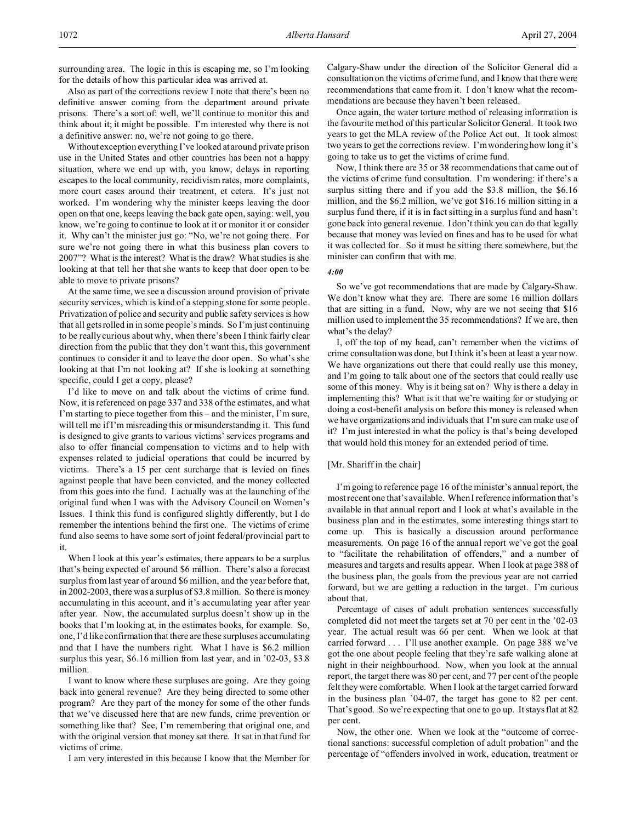Also as part of the corrections review I note that there's been no definitive answer coming from the department around private prisons. There's a sort of: well, we'll continue to monitor this and think about it; it might be possible. I'm interested why there is not a definitive answer: no, we're not going to go there.

Without exception everything I've looked at around private prison use in the United States and other countries has been not a happy situation, where we end up with, you know, delays in reporting escapes to the local community, recidivism rates, more complaints, more court cases around their treatment, et cetera. It's just not worked. I'm wondering why the minister keeps leaving the door open on that one, keeps leaving the back gate open, saying: well, you know, we're going to continue to look at it or monitor it or consider it. Why can't the minister just go: "No, we're not going there. For sure we're not going there in what this business plan covers to 2007"? What is the interest? What is the draw? What studies is she looking at that tell her that she wants to keep that door open to be able to move to private prisons?

At the same time, we see a discussion around provision of private security services, which is kind of a stepping stone for some people. Privatization of police and security and public safety services is how that all gets rolled in in some people's minds. So I'm just continuing to be really curious about why, when there's been I think fairly clear direction from the public that they don't want this, this government continues to consider it and to leave the door open. So what's she looking at that I'm not looking at? If she is looking at something specific, could I get a copy, please?

I'd like to move on and talk about the victims of crime fund. Now, it is referenced on page 337 and 338 of the estimates, and what I'm starting to piece together from this – and the minister, I'm sure, will tell me if I'm misreading this or misunderstanding it. This fund is designed to give grants to various victims' services programs and also to offer financial compensation to victims and to help with expenses related to judicial operations that could be incurred by victims. There's a 15 per cent surcharge that is levied on fines against people that have been convicted, and the money collected from this goes into the fund. I actually was at the launching of the original fund when I was with the Advisory Council on Women's Issues. I think this fund is configured slightly differently, but I do remember the intentions behind the first one. The victims of crime fund also seems to have some sort of joint federal/provincial part to it.

When I look at this year's estimates, there appears to be a surplus that's being expected of around \$6 million. There's also a forecast surplus from last year of around \$6 million, and the year before that, in 2002-2003, there was a surplus of \$3.8 million. So there is money accumulating in this account, and it's accumulating year after year after year. Now, the accumulated surplus doesn't show up in the books that I'm looking at, in the estimates books, for example. So, one, I'd like confirmation that there are these surpluses accumulating and that I have the numbers right. What I have is \$6.2 million surplus this year, \$6.16 million from last year, and in '02-03, \$3.8 million.

I want to know where these surpluses are going. Are they going back into general revenue? Are they being directed to some other program? Are they part of the money for some of the other funds that we've discussed here that are new funds, crime prevention or something like that? See, I'm remembering that original one, and with the original version that money sat there. It sat in that fund for victims of crime.

I am very interested in this because I know that the Member for

Calgary-Shaw under the direction of the Solicitor General did a consultation on the victims of crime fund, and I know that there were recommendations that came from it. I don't know what the recommendations are because they haven't been released.

Once again, the water torture method of releasing information is the favourite method of this particular Solicitor General. It took two years to get the MLA review of the Police Act out. It took almost two years to get the corrections review. I'm wondering how long it's going to take us to get the victims of crime fund.

Now, I think there are 35 or 38 recommendations that came out of the victims of crime fund consultation. I'm wondering: if there's a surplus sitting there and if you add the \$3.8 million, the \$6.16 million, and the \$6.2 million, we've got \$16.16 million sitting in a surplus fund there, if it is in fact sitting in a surplus fund and hasn't gone back into general revenue. I don't think you can do that legally because that money was levied on fines and has to be used for what it was collected for. So it must be sitting there somewhere, but the minister can confirm that with me.

# *4:00*

So we've got recommendations that are made by Calgary-Shaw. We don't know what they are. There are some 16 million dollars that are sitting in a fund. Now, why are we not seeing that \$16 million used to implement the 35 recommendations? If we are, then what's the delay?

I, off the top of my head, can't remember when the victims of crime consultation was done, but I think it's been at least a year now. We have organizations out there that could really use this money, and I'm going to talk about one of the sectors that could really use some of this money. Why is it being sat on? Why is there a delay in implementing this? What is it that we're waiting for or studying or doing a cost-benefit analysis on before this money is released when we have organizations and individuals that I'm sure can make use of it? I'm just interested in what the policy is that's being developed that would hold this money for an extended period of time.

#### [Mr. Shariff in the chair]

I'm going to reference page 16 of the minister's annual report, the most recent one that's available. When I reference information that's available in that annual report and I look at what's available in the business plan and in the estimates, some interesting things start to come up. This is basically a discussion around performance measurements. On page 16 of the annual report we've got the goal to "facilitate the rehabilitation of offenders," and a number of measures and targets and results appear. When I look at page 388 of the business plan, the goals from the previous year are not carried forward, but we are getting a reduction in the target. I'm curious about that.

Percentage of cases of adult probation sentences successfully completed did not meet the targets set at 70 per cent in the '02-03 year. The actual result was 66 per cent. When we look at that carried forward . . . I'll use another example. On page 388 we've got the one about people feeling that they're safe walking alone at night in their neighbourhood. Now, when you look at the annual report, the target there was 80 per cent, and 77 per cent of the people felt they were comfortable. When I look at the target carried forward in the business plan '04-07, the target has gone to 82 per cent. That's good. So we're expecting that one to go up. It stays flat at 82 per cent.

Now, the other one. When we look at the "outcome of correctional sanctions: successful completion of adult probation" and the percentage of "offenders involved in work, education, treatment or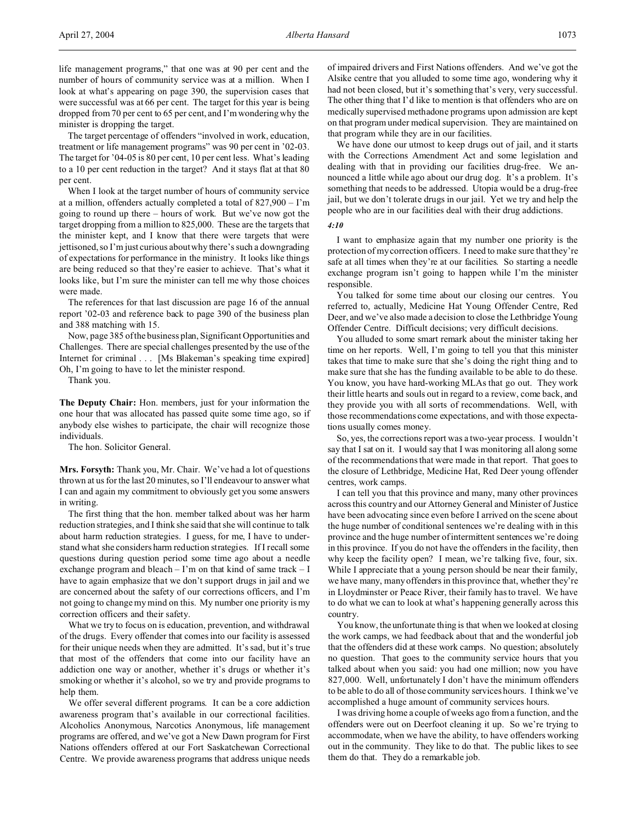life management programs," that one was at 90 per cent and the number of hours of community service was at a million. When I look at what's appearing on page 390, the supervision cases that were successful was at 66 per cent. The target for this year is being dropped from 70 per cent to 65 per cent, and I'm wondering why the minister is dropping the target.

The target percentage of offenders "involved in work, education, treatment or life management programs" was 90 per cent in '02-03. The target for '04-05 is 80 per cent, 10 per cent less. What's leading to a 10 per cent reduction in the target? And it stays flat at that 80 per cent.

When I look at the target number of hours of community service at a million, offenders actually completed a total of 827,900 – I'm going to round up there – hours of work. But we've now got the target dropping from a million to 825,000. These are the targets that the minister kept, and I know that there were targets that were jettisoned, so I'm just curious about why there's such a downgrading of expectations for performance in the ministry. It looks like things are being reduced so that they're easier to achieve. That's what it looks like, but I'm sure the minister can tell me why those choices were made.

The references for that last discussion are page 16 of the annual report '02-03 and reference back to page 390 of the business plan and 388 matching with 15.

Now, page 385 of the business plan, Significant Opportunities and Challenges. There are special challenges presented by the use of the Internet for criminal . . . [Ms Blakeman's speaking time expired] Oh, I'm going to have to let the minister respond.

Thank you.

**The Deputy Chair:** Hon. members, just for your information the one hour that was allocated has passed quite some time ago, so if anybody else wishes to participate, the chair will recognize those individuals.

The hon. Solicitor General.

**Mrs. Forsyth:** Thank you, Mr. Chair. We've had a lot of questions thrown at us for the last 20 minutes, so I'll endeavour to answer what I can and again my commitment to obviously get you some answers in writing.

The first thing that the hon. member talked about was her harm reduction strategies, and I think she said that she will continue to talk about harm reduction strategies. I guess, for me, I have to understand what she considers harm reduction strategies. If I recall some questions during question period some time ago about a needle exchange program and bleach  $-$  I'm on that kind of same track  $-$  I have to again emphasize that we don't support drugs in jail and we are concerned about the safety of our corrections officers, and I'm not going to change my mind on this. My number one priority is my correction officers and their safety.

What we try to focus on is education, prevention, and withdrawal of the drugs. Every offender that comes into our facility is assessed for their unique needs when they are admitted. It's sad, but it's true that most of the offenders that come into our facility have an addiction one way or another, whether it's drugs or whether it's smoking or whether it's alcohol, so we try and provide programs to help them.

We offer several different programs. It can be a core addiction awareness program that's available in our correctional facilities. Alcoholics Anonymous, Narcotics Anonymous, life management programs are offered, and we've got a New Dawn program for First Nations offenders offered at our Fort Saskatchewan Correctional Centre. We provide awareness programs that address unique needs

of impaired drivers and First Nations offenders. And we've got the Alsike centre that you alluded to some time ago, wondering why it had not been closed, but it's something that's very, very successful. The other thing that I'd like to mention is that offenders who are on medically supervised methadone programs upon admission are kept on that program under medical supervision. They are maintained on that program while they are in our facilities.

We have done our utmost to keep drugs out of jail, and it starts with the Corrections Amendment Act and some legislation and dealing with that in providing our facilities drug-free. We announced a little while ago about our drug dog. It's a problem. It's something that needs to be addressed. Utopia would be a drug-free jail, but we don't tolerate drugs in our jail. Yet we try and help the people who are in our facilities deal with their drug addictions.

### *4:10*

I want to emphasize again that my number one priority is the protection of my correction officers. I need to make sure that they're safe at all times when they're at our facilities. So starting a needle exchange program isn't going to happen while I'm the minister responsible.

You talked for some time about our closing our centres. You referred to, actually, Medicine Hat Young Offender Centre, Red Deer, and we've also made a decision to close the Lethbridge Young Offender Centre. Difficult decisions; very difficult decisions.

You alluded to some smart remark about the minister taking her time on her reports. Well, I'm going to tell you that this minister takes that time to make sure that she's doing the right thing and to make sure that she has the funding available to be able to do these. You know, you have hard-working MLAs that go out. They work their little hearts and souls out in regard to a review, come back, and they provide you with all sorts of recommendations. Well, with those recommendations come expectations, and with those expectations usually comes money.

So, yes, the corrections report was a two-year process. I wouldn't say that I sat on it. I would say that I was monitoring all along some of the recommendations that were made in that report. That goes to the closure of Lethbridge, Medicine Hat, Red Deer young offender centres, work camps.

I can tell you that this province and many, many other provinces across this country and our Attorney General and Minister of Justice have been advocating since even before I arrived on the scene about the huge number of conditional sentences we're dealing with in this province and the huge number of intermittent sentences we're doing in this province. If you do not have the offenders in the facility, then why keep the facility open? I mean, we're talking five, four, six. While I appreciate that a young person should be near their family, we have many, many offenders in this province that, whether they're in Lloydminster or Peace River, their family has to travel. We have to do what we can to look at what's happening generally across this country.

You know, the unfortunate thing is that when we looked at closing the work camps, we had feedback about that and the wonderful job that the offenders did at these work camps. No question; absolutely no question. That goes to the community service hours that you talked about when you said: you had one million; now you have 827,000. Well, unfortunately I don't have the minimum offenders to be able to do all of those community services hours. I think we've accomplished a huge amount of community services hours.

I was driving home a couple of weeks ago from a function, and the offenders were out on Deerfoot cleaning it up. So we're trying to accommodate, when we have the ability, to have offenders working out in the community. They like to do that. The public likes to see them do that. They do a remarkable job.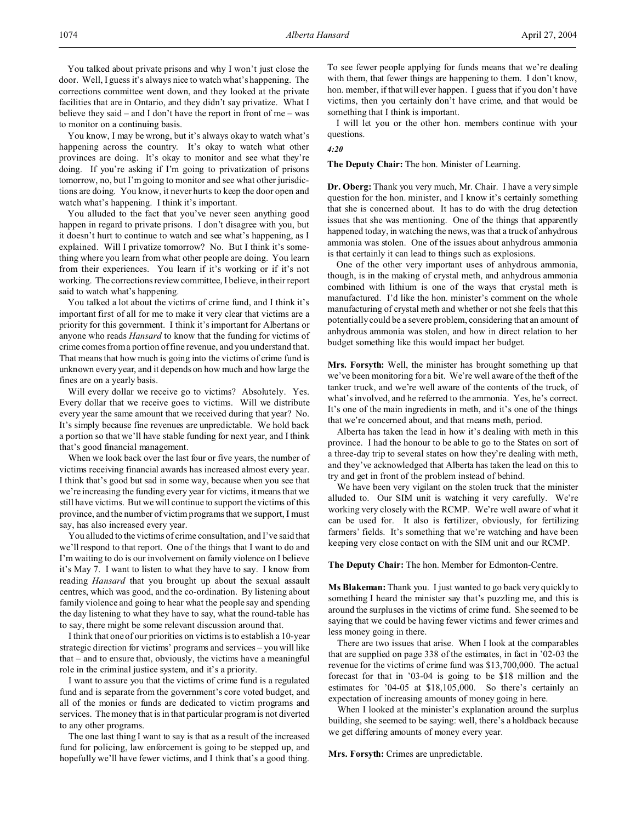You talked about private prisons and why I won't just close the door. Well, I guess it's always nice to watch what's happening. The corrections committee went down, and they looked at the private facilities that are in Ontario, and they didn't say privatize. What I believe they said – and I don't have the report in front of me – was to monitor on a continuing basis.

You know, I may be wrong, but it's always okay to watch what's happening across the country. It's okay to watch what other provinces are doing. It's okay to monitor and see what they're doing. If you're asking if I'm going to privatization of prisons tomorrow, no, but I'm going to monitor and see what other jurisdictions are doing. You know, it never hurts to keep the door open and watch what's happening. I think it's important.

You alluded to the fact that you've never seen anything good happen in regard to private prisons. I don't disagree with you, but it doesn't hurt to continue to watch and see what's happening, as I explained. Will I privatize tomorrow? No. But I think it's something where you learn from what other people are doing. You learn from their experiences. You learn if it's working or if it's not working. The corrections review committee, I believe, in their report said to watch what's happening.

You talked a lot about the victims of crime fund, and I think it's important first of all for me to make it very clear that victims are a priority for this government. I think it's important for Albertans or anyone who reads *Hansard* to know that the funding for victims of crime comes from a portion of fine revenue, and you understand that. That means that how much is going into the victims of crime fund is unknown every year, and it depends on how much and how large the fines are on a yearly basis.

Will every dollar we receive go to victims? Absolutely. Yes. Every dollar that we receive goes to victims. Will we distribute every year the same amount that we received during that year? No. It's simply because fine revenues are unpredictable. We hold back a portion so that we'll have stable funding for next year, and I think that's good financial management.

When we look back over the last four or five years, the number of victims receiving financial awards has increased almost every year. I think that's good but sad in some way, because when you see that we're increasing the funding every year for victims, it means that we still have victims. But we will continue to support the victims of this province, and the number of victim programs that we support, I must say, has also increased every year.

You alluded to the victims of crime consultation, and I've said that we'll respond to that report. One of the things that I want to do and I'm waiting to do is our involvement on family violence on I believe it's May 7. I want to listen to what they have to say. I know from reading *Hansard* that you brought up about the sexual assault centres, which was good, and the co-ordination. By listening about family violence and going to hear what the people say and spending the day listening to what they have to say, what the round-table has to say, there might be some relevant discussion around that.

I think that one of our priorities on victims is to establish a 10-year strategic direction for victims' programs and services – you will like that – and to ensure that, obviously, the victims have a meaningful role in the criminal justice system, and it's a priority.

I want to assure you that the victims of crime fund is a regulated fund and is separate from the government's core voted budget, and all of the monies or funds are dedicated to victim programs and services. The money that is in that particular program is not diverted to any other programs.

The one last thing I want to say is that as a result of the increased fund for policing, law enforcement is going to be stepped up, and hopefully we'll have fewer victims, and I think that's a good thing.

To see fewer people applying for funds means that we're dealing with them, that fewer things are happening to them. I don't know, hon. member, if that will ever happen. I guess that if you don't have victims, then you certainly don't have crime, and that would be something that I think is important.

I will let you or the other hon. members continue with your questions.

### *4:20*

**The Deputy Chair:** The hon. Minister of Learning.

**Dr. Oberg:** Thank you very much, Mr. Chair. I have a very simple question for the hon. minister, and I know it's certainly something that she is concerned about. It has to do with the drug detection issues that she was mentioning. One of the things that apparently happened today, in watching the news, was that a truck of anhydrous ammonia was stolen. One of the issues about anhydrous ammonia is that certainly it can lead to things such as explosions.

One of the other very important uses of anhydrous ammonia, though, is in the making of crystal meth, and anhydrous ammonia combined with lithium is one of the ways that crystal meth is manufactured. I'd like the hon. minister's comment on the whole manufacturing of crystal meth and whether or not she feels that this potentially could be a severe problem, considering that an amount of anhydrous ammonia was stolen, and how in direct relation to her budget something like this would impact her budget.

**Mrs. Forsyth:** Well, the minister has brought something up that we've been monitoring for a bit. We're well aware of the theft of the tanker truck, and we're well aware of the contents of the truck, of what's involved, and he referred to the ammonia. Yes, he's correct. It's one of the main ingredients in meth, and it's one of the things that we're concerned about, and that means meth, period.

Alberta has taken the lead in how it's dealing with meth in this province. I had the honour to be able to go to the States on sort of a three-day trip to several states on how they're dealing with meth, and they've acknowledged that Alberta has taken the lead on this to try and get in front of the problem instead of behind.

We have been very vigilant on the stolen truck that the minister alluded to. Our SIM unit is watching it very carefully. We're working very closely with the RCMP. We're well aware of what it can be used for. It also is fertilizer, obviously, for fertilizing farmers' fields. It's something that we're watching and have been keeping very close contact on with the SIM unit and our RCMP.

**The Deputy Chair:** The hon. Member for Edmonton-Centre.

**Ms Blakeman:** Thank you. I just wanted to go back very quickly to something I heard the minister say that's puzzling me, and this is around the surpluses in the victims of crime fund. She seemed to be saying that we could be having fewer victims and fewer crimes and less money going in there.

There are two issues that arise. When I look at the comparables that are supplied on page 338 of the estimates, in fact in '02-03 the revenue for the victims of crime fund was \$13,700,000. The actual forecast for that in '03-04 is going to be \$18 million and the estimates for '04-05 at \$18,105,000. So there's certainly an expectation of increasing amounts of money going in here.

When I looked at the minister's explanation around the surplus building, she seemed to be saying: well, there's a holdback because we get differing amounts of money every year.

**Mrs. Forsyth:** Crimes are unpredictable.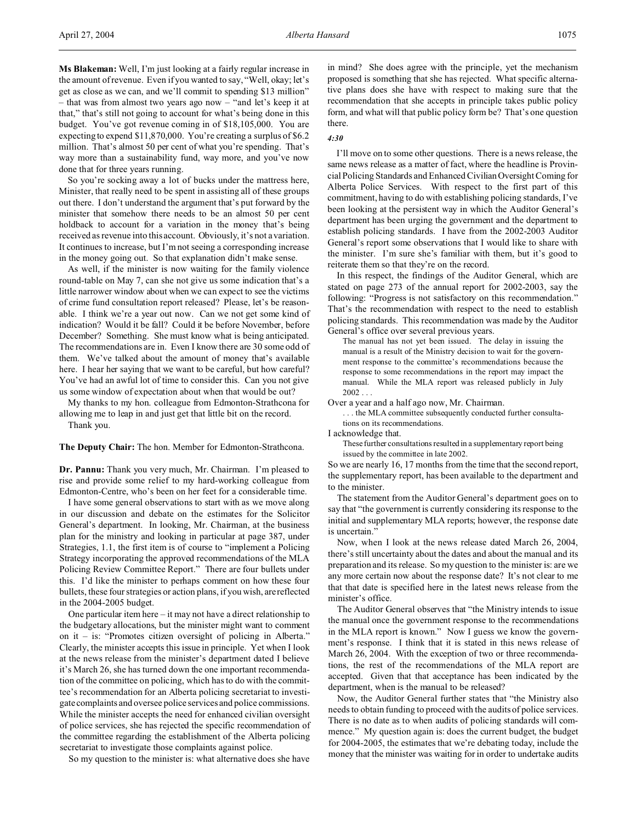**Ms Blakeman:** Well, I'm just looking at a fairly regular increase in the amount of revenue. Even if you wanted to say, "Well, okay; let's get as close as we can, and we'll commit to spending \$13 million" – that was from almost two years ago now – "and let's keep it at that," that's still not going to account for what's being done in this budget. You've got revenue coming in of \$18,105,000. You are expecting to expend \$11,870,000. You're creating a surplus of \$6.2 million. That's almost 50 per cent of what you're spending. That's way more than a sustainability fund, way more, and you've now done that for three years running.

So you're socking away a lot of bucks under the mattress here, Minister, that really need to be spent in assisting all of these groups out there. I don't understand the argument that's put forward by the minister that somehow there needs to be an almost 50 per cent holdback to account for a variation in the money that's being received as revenue into this account. Obviously, it's not a variation. It continues to increase, but I'm not seeing a corresponding increase in the money going out. So that explanation didn't make sense.

As well, if the minister is now waiting for the family violence round-table on May 7, can she not give us some indication that's a little narrower window about when we can expect to see the victims of crime fund consultation report released? Please, let's be reasonable. I think we're a year out now. Can we not get some kind of indication? Would it be fall? Could it be before November, before December? Something. She must know what is being anticipated. The recommendations are in. Even I know there are 30 some odd of them. We've talked about the amount of money that's available here. I hear her saying that we want to be careful, but how careful? You've had an awful lot of time to consider this. Can you not give us some window of expectation about when that would be out?

My thanks to my hon. colleague from Edmonton-Strathcona for allowing me to leap in and just get that little bit on the record. Thank you.

**The Deputy Chair:** The hon. Member for Edmonton-Strathcona.

**Dr. Pannu:** Thank you very much, Mr. Chairman. I'm pleased to rise and provide some relief to my hard-working colleague from Edmonton-Centre, who's been on her feet for a considerable time.

I have some general observations to start with as we move along in our discussion and debate on the estimates for the Solicitor General's department. In looking, Mr. Chairman, at the business plan for the ministry and looking in particular at page 387, under Strategies, 1.1, the first item is of course to "implement a Policing Strategy incorporating the approved recommendations of the MLA Policing Review Committee Report." There are four bullets under this. I'd like the minister to perhaps comment on how these four bullets, these four strategies or action plans, if you wish, are reflected in the 2004-2005 budget.

One particular item here – it may not have a direct relationship to the budgetary allocations, but the minister might want to comment on it – is: "Promotes citizen oversight of policing in Alberta." Clearly, the minister accepts this issue in principle. Yet when I look at the news release from the minister's department dated I believe it's March 26, she has turned down the one important recommendation of the committee on policing, which has to do with the committee's recommendation for an Alberta policing secretariat to investigate complaints and oversee police services and police commissions. While the minister accepts the need for enhanced civilian oversight of police services, she has rejected the specific recommendation of the committee regarding the establishment of the Alberta policing secretariat to investigate those complaints against police.

So my question to the minister is: what alternative does she have

in mind? She does agree with the principle, yet the mechanism proposed is something that she has rejected. What specific alternative plans does she have with respect to making sure that the recommendation that she accepts in principle takes public policy form, and what will that public policy form be? That's one question there.

### *4:30*

I'll move on to some other questions. There is a news release, the same news release as a matter of fact, where the headline is Provincial Policing Standards and Enhanced CivilianOversight Coming for Alberta Police Services. With respect to the first part of this commitment, having to do with establishing policing standards, I've been looking at the persistent way in which the Auditor General's department has been urging the government and the department to establish policing standards. I have from the 2002-2003 Auditor General's report some observations that I would like to share with the minister. I'm sure she's familiar with them, but it's good to reiterate them so that they're on the record.

In this respect, the findings of the Auditor General, which are stated on page 273 of the annual report for 2002-2003, say the following: "Progress is not satisfactory on this recommendation." That's the recommendation with respect to the need to establish policing standards. This recommendation was made by the Auditor General's office over several previous years.

The manual has not yet been issued. The delay in issuing the manual is a result of the Ministry decision to wait for the government response to the committee's recommendations because the response to some recommendations in the report may impact the manual. While the MLA report was released publicly in July  $2002...$ 

Over a year and a half ago now, Mr. Chairman.

. . . the MLA committee subsequently conducted further consultations on its recommendations.

I acknowledge that.

These further consultations resulted in a supplementary report being issued by the committee in late 2002.

So we are nearly 16, 17 months from the time that the second report, the supplementary report, has been available to the department and to the minister.

The statement from the Auditor General's department goes on to say that "the government is currently considering its response to the initial and supplementary MLA reports; however, the response date is uncertain."

Now, when I look at the news release dated March 26, 2004, there's still uncertainty about the dates and about the manual and its preparation and its release. So my question to the minister is: are we any more certain now about the response date? It's not clear to me that that date is specified here in the latest news release from the minister's office.

The Auditor General observes that "the Ministry intends to issue the manual once the government response to the recommendations in the MLA report is known." Now I guess we know the government's response. I think that it is stated in this news release of March 26, 2004. With the exception of two or three recommendations, the rest of the recommendations of the MLA report are accepted. Given that that acceptance has been indicated by the department, when is the manual to be released?

Now, the Auditor General further states that "the Ministry also needs to obtain funding to proceed with the audits of police services. There is no date as to when audits of policing standards will commence." My question again is: does the current budget, the budget for 2004-2005, the estimates that we're debating today, include the money that the minister was waiting for in order to undertake audits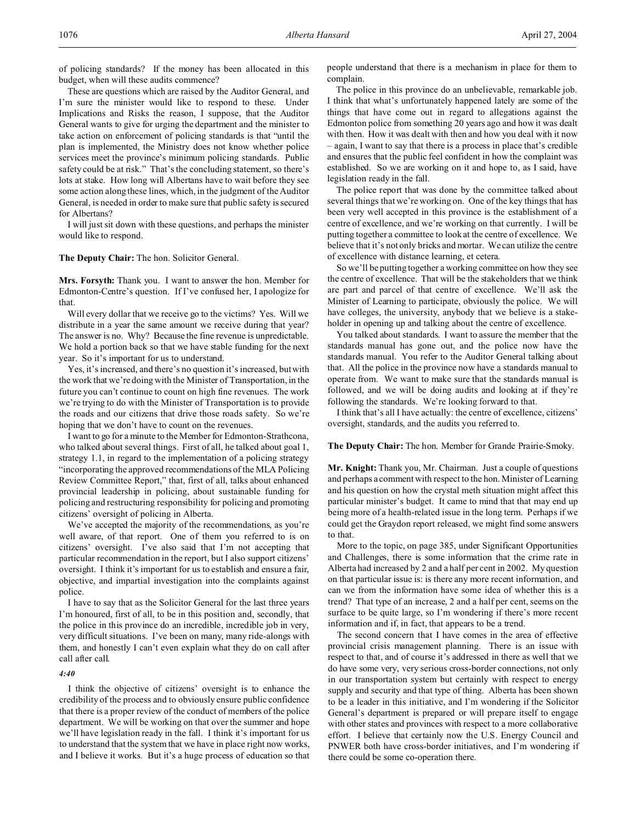of policing standards? If the money has been allocated in this budget, when will these audits commence?

These are questions which are raised by the Auditor General, and I'm sure the minister would like to respond to these. Under Implications and Risks the reason, I suppose, that the Auditor General wants to give for urging the department and the minister to take action on enforcement of policing standards is that "until the plan is implemented, the Ministry does not know whether police services meet the province's minimum policing standards. Public safety could be at risk." That's the concluding statement, so there's lots at stake. How long will Albertans have to wait before they see some action along these lines, which, in the judgment of the Auditor General, is needed in order to make sure that public safety is secured for Albertans?

I will just sit down with these questions, and perhaps the minister would like to respond.

# **The Deputy Chair:** The hon. Solicitor General.

**Mrs. Forsyth:** Thank you. I want to answer the hon. Member for Edmonton-Centre's question. If I've confused her, I apologize for that.

Will every dollar that we receive go to the victims? Yes. Will we distribute in a year the same amount we receive during that year? The answer is no. Why? Because the fine revenue is unpredictable. We hold a portion back so that we have stable funding for the next year. So it's important for us to understand.

Yes, it's increased, and there's no question it's increased, but with the work that we're doing with the Minister of Transportation, in the future you can't continue to count on high fine revenues. The work we're trying to do with the Minister of Transportation is to provide the roads and our citizens that drive those roads safety. So we're hoping that we don't have to count on the revenues.

I want to go for a minute to the Member for Edmonton-Strathcona, who talked about several things. First of all, he talked about goal 1, strategy 1.1, in regard to the implementation of a policing strategy "incorporating the approved recommendations of the MLA Policing Review Committee Report," that, first of all, talks about enhanced provincial leadership in policing, about sustainable funding for policing and restructuring responsibility for policing and promoting citizens' oversight of policing in Alberta.

We've accepted the majority of the recommendations, as you're well aware, of that report. One of them you referred to is on citizens' oversight. I've also said that I'm not accepting that particular recommendation in the report, but I also support citizens' oversight. I think it's important for us to establish and ensure a fair, objective, and impartial investigation into the complaints against police.

I have to say that as the Solicitor General for the last three years I'm honoured, first of all, to be in this position and, secondly, that the police in this province do an incredible, incredible job in very, very difficult situations. I've been on many, many ride-alongs with them, and honestly I can't even explain what they do on call after call after call.

# *4:40*

I think the objective of citizens' oversight is to enhance the credibility of the process and to obviously ensure public confidence that there is a proper review of the conduct of members of the police department. We will be working on that over the summer and hope we'll have legislation ready in the fall. I think it's important for us to understand that the system that we have in place right now works, and I believe it works. But it's a huge process of education so that

people understand that there is a mechanism in place for them to complain.

The police in this province do an unbelievable, remarkable job. I think that what's unfortunately happened lately are some of the things that have come out in regard to allegations against the Edmonton police from something 20 years ago and how it was dealt with then. How it was dealt with then and how you deal with it now – again, I want to say that there is a process in place that's credible and ensures that the public feel confident in how the complaint was established. So we are working on it and hope to, as I said, have legislation ready in the fall.

The police report that was done by the committee talked about several things that we're working on. One of the key things that has been very well accepted in this province is the establishment of a centre of excellence, and we're working on that currently. I will be putting together a committee to look at the centre of excellence. We believe that it's not only bricks and mortar. We can utilize the centre of excellence with distance learning, et cetera.

So we'll be putting together a working committee on how they see the centre of excellence. That will be the stakeholders that we think are part and parcel of that centre of excellence. We'll ask the Minister of Learning to participate, obviously the police. We will have colleges, the university, anybody that we believe is a stakeholder in opening up and talking about the centre of excellence.

You talked about standards. I want to assure the member that the standards manual has gone out, and the police now have the standards manual. You refer to the Auditor General talking about that. All the police in the province now have a standards manual to operate from. We want to make sure that the standards manual is followed, and we will be doing audits and looking at if they're following the standards. We're looking forward to that.

I think that's all I have actually: the centre of excellence, citizens' oversight, standards, and the audits you referred to.

### **The Deputy Chair:** The hon. Member for Grande Prairie-Smoky.

**Mr. Knight:** Thank you, Mr. Chairman. Just a couple of questions and perhaps a comment with respect to the hon. Minister of Learning and his question on how the crystal meth situation might affect this particular minister's budget. It came to mind that that may end up being more of a health-related issue in the long term. Perhaps if we could get the Graydon report released, we might find some answers to that.

More to the topic, on page 385, under Significant Opportunities and Challenges, there is some information that the crime rate in Alberta had increased by 2 and a half per cent in 2002. My question on that particular issue is: is there any more recent information, and can we from the information have some idea of whether this is a trend? That type of an increase, 2 and a half per cent, seems on the surface to be quite large, so I'm wondering if there's more recent information and if, in fact, that appears to be a trend.

The second concern that I have comes in the area of effective provincial crisis management planning. There is an issue with respect to that, and of course it's addressed in there as well that we do have some very, very serious cross-border connections, not only in our transportation system but certainly with respect to energy supply and security and that type of thing. Alberta has been shown to be a leader in this initiative, and I'm wondering if the Solicitor General's department is prepared or will prepare itself to engage with other states and provinces with respect to a more collaborative effort. I believe that certainly now the U.S. Energy Council and PNWER both have cross-border initiatives, and I'm wondering if there could be some co-operation there.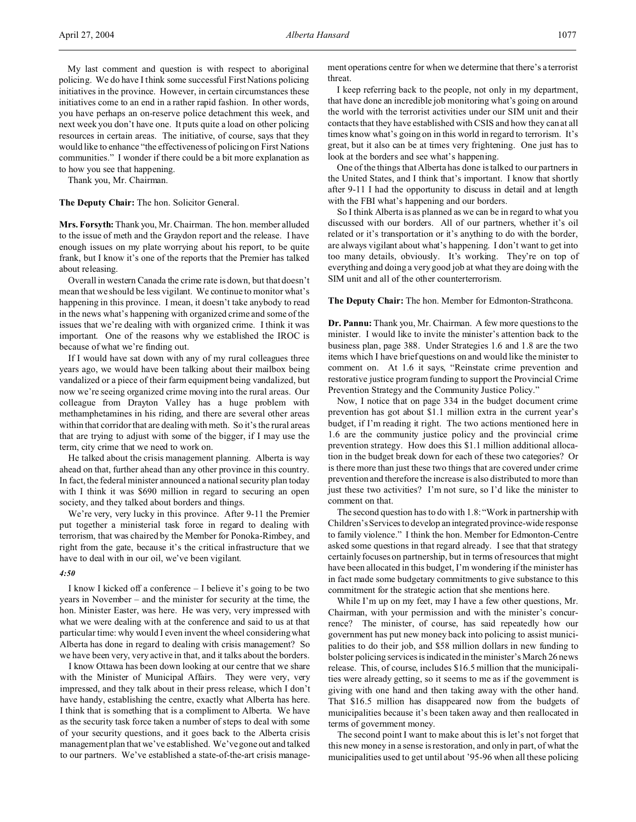My last comment and question is with respect to aboriginal policing. We do have I think some successful First Nations policing initiatives in the province. However, in certain circumstances these initiatives come to an end in a rather rapid fashion. In other words, you have perhaps an on-reserve police detachment this week, and next week you don't have one. It puts quite a load on other policing resources in certain areas. The initiative, of course, says that they would like to enhance "the effectiveness of policing on First Nations communities." I wonder if there could be a bit more explanation as to how you see that happening.

Thank you, Mr. Chairman.

**The Deputy Chair:** The hon. Solicitor General.

**Mrs. Forsyth:** Thank you, Mr. Chairman. The hon. member alluded to the issue of meth and the Graydon report and the release. I have enough issues on my plate worrying about his report, to be quite frank, but I know it's one of the reports that the Premier has talked about releasing.

Overall in western Canada the crime rate is down, but that doesn't mean that we should be less vigilant. We continue to monitor what's happening in this province. I mean, it doesn't take anybody to read in the news what's happening with organized crime and some of the issues that we're dealing with with organized crime. I think it was important. One of the reasons why we established the IROC is because of what we're finding out.

If I would have sat down with any of my rural colleagues three years ago, we would have been talking about their mailbox being vandalized or a piece of their farm equipment being vandalized, but now we're seeing organized crime moving into the rural areas. Our colleague from Drayton Valley has a huge problem with methamphetamines in his riding, and there are several other areas within that corridor that are dealing with meth. So it's the rural areas that are trying to adjust with some of the bigger, if I may use the term, city crime that we need to work on.

He talked about the crisis management planning. Alberta is way ahead on that, further ahead than any other province in this country. In fact, the federal minister announced a national security plan today with I think it was \$690 million in regard to securing an open society, and they talked about borders and things.

We're very, very lucky in this province. After 9-11 the Premier put together a ministerial task force in regard to dealing with terrorism, that was chaired by the Member for Ponoka-Rimbey, and right from the gate, because it's the critical infrastructure that we have to deal with in our oil, we've been vigilant.

# *4:50*

I know I kicked off a conference – I believe it's going to be two years in November – and the minister for security at the time, the hon. Minister Easter, was here. He was very, very impressed with what we were dealing with at the conference and said to us at that particular time: why would I even invent the wheel considering what Alberta has done in regard to dealing with crisis management? So we have been very, very active in that, and it talks about the borders.

I know Ottawa has been down looking at our centre that we share with the Minister of Municipal Affairs. They were very, very impressed, and they talk about in their press release, which I don't have handy, establishing the centre, exactly what Alberta has here. I think that is something that is a compliment to Alberta. We have as the security task force taken a number of steps to deal with some of your security questions, and it goes back to the Alberta crisis management plan that we've established. We've gone out and talked to our partners. We've established a state-of-the-art crisis management operations centre for when we determine that there's a terrorist threat.

I keep referring back to the people, not only in my department, that have done an incredible job monitoring what's going on around the world with the terrorist activities under our SIM unit and their contacts that they have established with CSIS and how they can at all times know what's going on in this world in regard to terrorism. It's great, but it also can be at times very frightening. One just has to look at the borders and see what's happening.

One of the things that Alberta has done is talked to our partners in the United States, and I think that's important. I know that shortly after 9-11 I had the opportunity to discuss in detail and at length with the FBI what's happening and our borders.

So I think Alberta is as planned as we can be in regard to what you discussed with our borders. All of our partners, whether it's oil related or it's transportation or it's anything to do with the border, are always vigilant about what's happening. I don't want to get into too many details, obviously. It's working. They're on top of everything and doing a very good job at what they are doing with the SIM unit and all of the other counterterrorism.

**The Deputy Chair:** The hon. Member for Edmonton-Strathcona.

**Dr. Pannu:** Thank you, Mr. Chairman. A few more questions to the minister. I would like to invite the minister's attention back to the business plan, page 388. Under Strategies 1.6 and 1.8 are the two items which I have brief questions on and would like the minister to comment on. At 1.6 it says, "Reinstate crime prevention and restorative justice program funding to support the Provincial Crime Prevention Strategy and the Community Justice Policy."

Now, I notice that on page 334 in the budget document crime prevention has got about \$1.1 million extra in the current year's budget, if I'm reading it right. The two actions mentioned here in 1.6 are the community justice policy and the provincial crime prevention strategy. How does this \$1.1 million additional allocation in the budget break down for each of these two categories? Or is there more than just these two things that are covered under crime prevention and therefore the increase is also distributed to more than just these two activities? I'm not sure, so I'd like the minister to comment on that.

The second question has to do with 1.8: "Work in partnership with Children's Services to develop an integrated province-wide response to family violence." I think the hon. Member for Edmonton-Centre asked some questions in that regard already. I see that that strategy certainly focuses on partnership, but in terms of resources that might have been allocated in this budget, I'm wondering if the minister has in fact made some budgetary commitments to give substance to this commitment for the strategic action that she mentions here.

While I'm up on my feet, may I have a few other questions, Mr. Chairman, with your permission and with the minister's concurrence? The minister, of course, has said repeatedly how our government has put new money back into policing to assist municipalities to do their job, and \$58 million dollars in new funding to bolster policing services is indicated in the minister's March 26 news release. This, of course, includes \$16.5 million that the municipalities were already getting, so it seems to me as if the government is giving with one hand and then taking away with the other hand. That \$16.5 million has disappeared now from the budgets of municipalities because it's been taken away and then reallocated in terms of government money.

The second point I want to make about this is let's not forget that this new money in a sense is restoration, and only in part, of what the municipalities used to get until about '95-96 when all these policing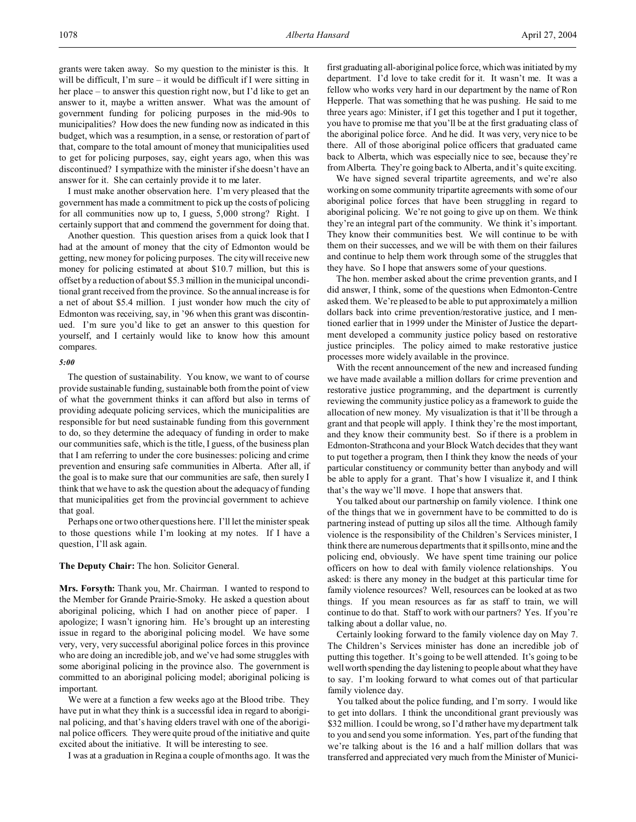grants were taken away. So my question to the minister is this. It will be difficult, I'm sure – it would be difficult if I were sitting in her place – to answer this question right now, but I'd like to get an answer to it, maybe a written answer. What was the amount of government funding for policing purposes in the mid-90s to municipalities? How does the new funding now as indicated in this budget, which was a resumption, in a sense, or restoration of part of that, compare to the total amount of money that municipalities used to get for policing purposes, say, eight years ago, when this was discontinued? I sympathize with the minister if she doesn't have an answer for it. She can certainly provide it to me later.

I must make another observation here. I'm very pleased that the government has made a commitment to pick up the costs of policing for all communities now up to, I guess, 5,000 strong? Right. I certainly support that and commend the government for doing that.

Another question. This question arises from a quick look that I had at the amount of money that the city of Edmonton would be getting, new money for policing purposes. The city will receive new money for policing estimated at about \$10.7 million, but this is offset by a reduction of about \$5.3 million in the municipal unconditional grant received from the province. So the annual increase is for a net of about \$5.4 million. I just wonder how much the city of Edmonton was receiving, say, in '96 when this grant was discontinued. I'm sure you'd like to get an answer to this question for yourself, and I certainly would like to know how this amount compares.

# *5:00*

The question of sustainability. You know, we want to of course provide sustainable funding, sustainable both from the point of view of what the government thinks it can afford but also in terms of providing adequate policing services, which the municipalities are responsible for but need sustainable funding from this government to do, so they determine the adequacy of funding in order to make our communities safe, which is the title, I guess, of the business plan that I am referring to under the core businesses: policing and crime prevention and ensuring safe communities in Alberta. After all, if the goal is to make sure that our communities are safe, then surely I think that we have to ask the question about the adequacy of funding that municipalities get from the provincial government to achieve that goal.

Perhaps one or two other questions here. I'll let the minister speak to those questions while I'm looking at my notes. If I have a question, I'll ask again.

# **The Deputy Chair:** The hon. Solicitor General.

**Mrs. Forsyth:** Thank you, Mr. Chairman. I wanted to respond to the Member for Grande Prairie-Smoky. He asked a question about aboriginal policing, which I had on another piece of paper. I apologize; I wasn't ignoring him. He's brought up an interesting issue in regard to the aboriginal policing model. We have some very, very, very successful aboriginal police forces in this province who are doing an incredible job, and we've had some struggles with some aboriginal policing in the province also. The government is committed to an aboriginal policing model; aboriginal policing is important.

We were at a function a few weeks ago at the Blood tribe. They have put in what they think is a successful idea in regard to aboriginal policing, and that's having elders travel with one of the aboriginal police officers. They were quite proud of the initiative and quite excited about the initiative. It will be interesting to see.

I was at a graduation in Regina a couple of months ago. It was the

first graduating all-aboriginal police force, which was initiated by my department. I'd love to take credit for it. It wasn't me. It was a fellow who works very hard in our department by the name of Ron Hepperle. That was something that he was pushing. He said to me three years ago: Minister, if I get this together and I put it together, you have to promise me that you'll be at the first graduating class of the aboriginal police force. And he did. It was very, very nice to be there. All of those aboriginal police officers that graduated came back to Alberta, which was especially nice to see, because they're from Alberta. They're going back to Alberta, and it's quite exciting.

We have signed several tripartite agreements, and we're also working on some community tripartite agreements with some of our aboriginal police forces that have been struggling in regard to aboriginal policing. We're not going to give up on them. We think they're an integral part of the community. We think it's important. They know their communities best. We will continue to be with them on their successes, and we will be with them on their failures and continue to help them work through some of the struggles that they have. So I hope that answers some of your questions.

The hon. member asked about the crime prevention grants, and I did answer, I think, some of the questions when Edmonton-Centre asked them. We're pleased to be able to put approximately a million dollars back into crime prevention/restorative justice, and I mentioned earlier that in 1999 under the Minister of Justice the department developed a community justice policy based on restorative justice principles. The policy aimed to make restorative justice processes more widely available in the province.

With the recent announcement of the new and increased funding we have made available a million dollars for crime prevention and restorative justice programming, and the department is currently reviewing the community justice policy as a framework to guide the allocation of new money. My visualization is that it'll be through a grant and that people will apply. I think they're the most important, and they know their community best. So if there is a problem in Edmonton-Strathcona and your Block Watch decides that they want to put together a program, then I think they know the needs of your particular constituency or community better than anybody and will be able to apply for a grant. That's how I visualize it, and I think that's the way we'll move. I hope that answers that.

You talked about our partnership on family violence. I think one of the things that we in government have to be committed to do is partnering instead of putting up silos all the time. Although family violence is the responsibility of the Children's Services minister, I think there are numerous departments that it spills onto, mine and the policing end, obviously. We have spent time training our police officers on how to deal with family violence relationships. You asked: is there any money in the budget at this particular time for family violence resources? Well, resources can be looked at as two things. If you mean resources as far as staff to train, we will continue to do that. Staff to work with our partners? Yes. If you're talking about a dollar value, no.

Certainly looking forward to the family violence day on May 7. The Children's Services minister has done an incredible job of putting this together. It's going to be well attended. It's going to be well worth spending the day listening to people about what they have to say. I'm looking forward to what comes out of that particular family violence day.

You talked about the police funding, and I'm sorry. I would like to get into dollars. I think the unconditional grant previously was \$32 million. I could be wrong, so I'd rather have my department talk to you and send you some information. Yes, part of the funding that we're talking about is the 16 and a half million dollars that was transferred and appreciated very much from the Minister of Munici